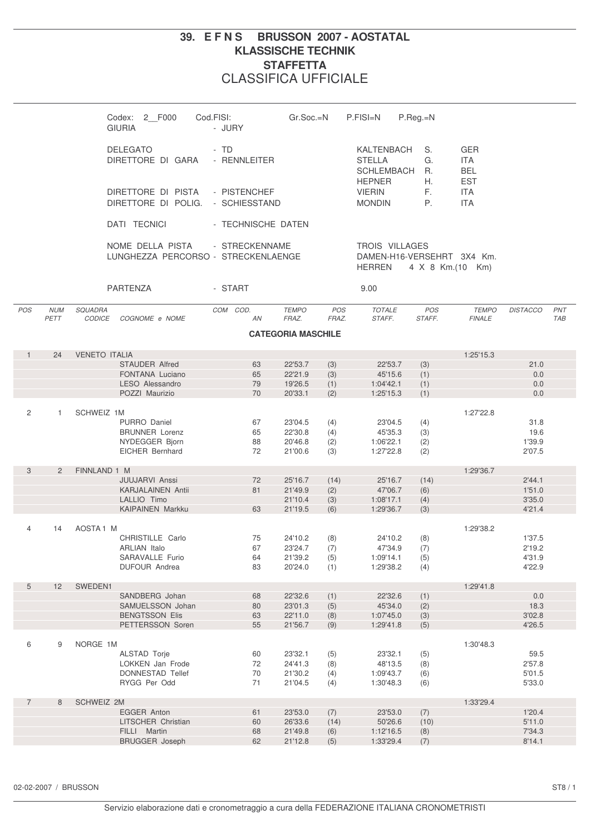## **39. E F N S BRUSSON 2007 - AOSTATAL KLASSISCHE TECHNIK STAFFETTA** CLASSIFICA UFFICIALE

|                |                    | Codex: 2 F000<br><b>GIURIA</b>                          | Cod.FISI:<br>- JURY  | $Gr.Soc.=N$                      | P.FISI=N                       | P.Reg.=N                                                |                                                      |                  |                   |
|----------------|--------------------|---------------------------------------------------------|----------------------|----------------------------------|--------------------------------|---------------------------------------------------------|------------------------------------------------------|------------------|-------------------|
|                |                    | <b>DELEGATO</b><br>DIRETTORE DI GARA                    | - TD<br>- RENNLEITER |                                  | <b>STELLA</b><br><b>HEPNER</b> | KALTENBACH<br>S.<br>G.<br><b>SCHLEMBACH</b><br>R.<br>Н. | <b>GER</b><br><b>ITA</b><br><b>BEL</b><br><b>EST</b> |                  |                   |
|                |                    | DIRETTORE DI PISTA<br>DIRETTORE DI POLIG. - SCHIESSTAND | - PISTENCHEF         |                                  | <b>VIERIN</b><br><b>MONDIN</b> | F.<br>P.                                                | <b>ITA</b><br><b>ITA</b>                             |                  |                   |
|                |                    | DATI TECNICI                                            | - TECHNISCHE DATEN   |                                  |                                |                                                         |                                                      |                  |                   |
|                |                    | NOME DELLA PISTA<br>LUNGHEZZA PERCORSO - STRECKENLAENGE | - STRECKENNAME       |                                  | <b>HERREN</b>                  | <b>TROIS VILLAGES</b><br>DAMEN-H16-VERSEHRT 3X4 Km.     | 4 X 8 Km.(10 Km)                                     |                  |                   |
|                |                    | PARTENZA                                                | - START              |                                  | 9.00                           |                                                         |                                                      |                  |                   |
| POS            | <b>NUM</b><br>PETT | SQUADRA<br><b>CODICE</b><br>COGNOME e NOME              | COM COD.<br>AN       | <b>TEMPO</b><br>FRAZ.            | <b>POS</b><br>FRAZ.<br>STAFF.  | <b>TOTALE</b><br>POS<br>STAFF.                          | <b>TEMPO</b><br><b>FINALE</b>                        | <b>DISTACCO</b>  | PNT<br><b>TAB</b> |
|                |                    |                                                         |                      | <b>CATEGORIA MASCHILE</b>        |                                |                                                         |                                                      |                  |                   |
| $\mathbf{1}$   | 24                 | <b>VENETO ITALIA</b>                                    |                      |                                  |                                |                                                         | 1:25'15.3                                            |                  |                   |
|                |                    | <b>STAUDER Alfred</b>                                   | 63                   | 22'53.7<br>(3)                   |                                | 22'53.7<br>(3)                                          |                                                      | 21.0             |                   |
|                |                    | FONTANA Luciano                                         | 65                   | 22'21.9<br>(3)                   |                                | 45'15.6<br>(1)                                          |                                                      | 0.0              |                   |
|                |                    | <b>LESO Alessandro</b>                                  | 79                   | 19'26.5<br>(1)                   |                                | 1:04'42.1<br>(1)                                        |                                                      | 0.0              |                   |
|                |                    | POZZI Maurizio                                          | 70                   | 20'33.1<br>(2)                   |                                | (1)<br>1:25'15.3                                        |                                                      | 0.0              |                   |
| 2              | $\mathbf{1}$       | SCHWEIZ 1M                                              |                      |                                  |                                |                                                         | 1:27'22.8                                            |                  |                   |
|                |                    | PURRO Daniel                                            | 67                   | 23'04.5<br>(4)                   |                                | 23'04.5<br>(4)                                          |                                                      | 31.8             |                   |
|                |                    | <b>BRUNNER Lorenz</b>                                   | 65                   | 22'30.8<br>(4)                   |                                | 45'35.3<br>(3)                                          |                                                      | 19.6             |                   |
|                |                    | NYDEGGER Bjorn                                          | 88                   | 20'46.8<br>(2)                   |                                | 1:06'22.1<br>(2)                                        |                                                      | 1'39.9           |                   |
|                |                    | <b>EICHER Bernhard</b>                                  | 72                   | 21'00.6<br>(3)                   |                                | 1:27'22.8<br>(2)                                        |                                                      | 2'07.5           |                   |
|                |                    |                                                         |                      |                                  |                                |                                                         |                                                      |                  |                   |
| 3              | $\overline{2}$     | FINNLAND 1 M                                            |                      |                                  |                                |                                                         | 1:29'36.7                                            |                  |                   |
|                |                    | <b>JUUJARVI Anssi</b>                                   | 72                   | 25'16.7<br>(14)<br>21'49.9       |                                | 25'16.7<br>(14)                                         |                                                      | 2'44.1<br>1'51.0 |                   |
|                |                    | <b>KARJALAINEN Antii</b><br>LALLIO Timo                 | 81                   | (2)<br>21'10.4<br>(3)            |                                | 47'06.7<br>(6)<br>1:08'17.1<br>(4)                      |                                                      | 3'35.0           |                   |
|                |                    | <b>KAIPAINEN Markku</b>                                 | 63                   | 21'19.5<br>(6)                   |                                | 1:29'36.7<br>(3)                                        |                                                      | 4'21.4           |                   |
|                |                    |                                                         |                      |                                  |                                |                                                         |                                                      |                  |                   |
| $\overline{4}$ | 14                 | AOSTA <sub>1</sub> M                                    |                      |                                  |                                |                                                         | 1:29'38.2                                            |                  |                   |
|                |                    | CHRISTILLE Carlo                                        | 75                   | 24'10.2<br>(8)                   |                                | 24'10.2<br>(8)                                          |                                                      | 1'37.5           |                   |
|                |                    | <b>ARLIAN Italo</b>                                     | 67                   | 23'24.7<br>(7)                   |                                | 47'34.9<br>(7)                                          |                                                      | 2'19.2           |                   |
|                |                    | SARAVALLE Furio<br><b>DUFOUR Andrea</b>                 | 64<br>83             | 21'39.2<br>(5)<br>20'24.0<br>(1) |                                | 1:09'14.1<br>(5)<br>1:29'38.2<br>(4)                    |                                                      | 4'31.9<br>4'22.9 |                   |
|                |                    |                                                         |                      |                                  |                                |                                                         |                                                      |                  |                   |
| 5              | 12                 | SWEDEN1                                                 |                      |                                  |                                |                                                         | 1:29'41.8                                            |                  |                   |
|                |                    | SANDBERG Johan                                          | 68                   | 22'32.6<br>(1)                   |                                | 22'32.6<br>(1)                                          |                                                      | 0.0              |                   |
|                |                    | SAMUELSSON Johan                                        | 80                   | 23'01.3<br>(5)                   |                                | 45'34.0<br>(2)                                          |                                                      | 18.3             |                   |
|                |                    | <b>BENGTSSON Elis</b>                                   | 63                   | 22'11.0<br>(8)                   |                                | 1:07'45.0<br>(3)                                        |                                                      | 3'02.8           |                   |
|                |                    | PETTERSSON Soren                                        | 55                   | 21'56.7<br>(9)                   |                                | 1:29'41.8<br>(5)                                        |                                                      | 4'26.5           |                   |
| 6              | 9                  | NORGE 1M                                                |                      |                                  |                                |                                                         | 1:30'48.3                                            |                  |                   |
|                |                    | ALSTAD Torje                                            | 60                   | 23'32.1<br>(5)                   |                                | 23'32.1<br>(5)                                          |                                                      | 59.5             |                   |
|                |                    | LOKKEN Jan Frode                                        | 72                   | 24'41.3<br>(8)                   |                                | 48'13.5<br>(8)                                          |                                                      | 2'57.8           |                   |
|                |                    | <b>DONNESTAD Tellef</b>                                 | 70                   | 21'30.2<br>(4)                   |                                | 1:09'43.7<br>(6)                                        |                                                      | 5'01.5           |                   |
|                |                    | RYGG Per Odd                                            | 71                   | 21'04.5<br>(4)                   |                                | 1:30'48.3<br>(6)                                        |                                                      | 5'33.0           |                   |
| $\overline{7}$ | 8                  | SCHWEIZ 2M                                              |                      |                                  |                                |                                                         | 1:33'29.4                                            |                  |                   |
|                |                    | EGGER Anton                                             | 61                   | 23'53.0<br>(7)                   |                                | 23'53.0<br>(7)                                          |                                                      | 1'20.4           |                   |
|                |                    | LITSCHER Christian                                      | 60                   | 26'33.6<br>(14)                  |                                | 50'26.6<br>(10)                                         |                                                      | 5'11.0           |                   |
|                |                    | FILLI Martin                                            | 68                   | 21'49.8<br>(6)                   |                                | 1:12'16.5<br>(8)                                        |                                                      | 7'34.3           |                   |
|                |                    | <b>BRUGGER Joseph</b>                                   | 62                   | 21'12.8<br>(5)                   |                                | 1:33'29.4<br>(7)                                        |                                                      | 8'14.1           |                   |
|                |                    |                                                         |                      |                                  |                                |                                                         |                                                      |                  |                   |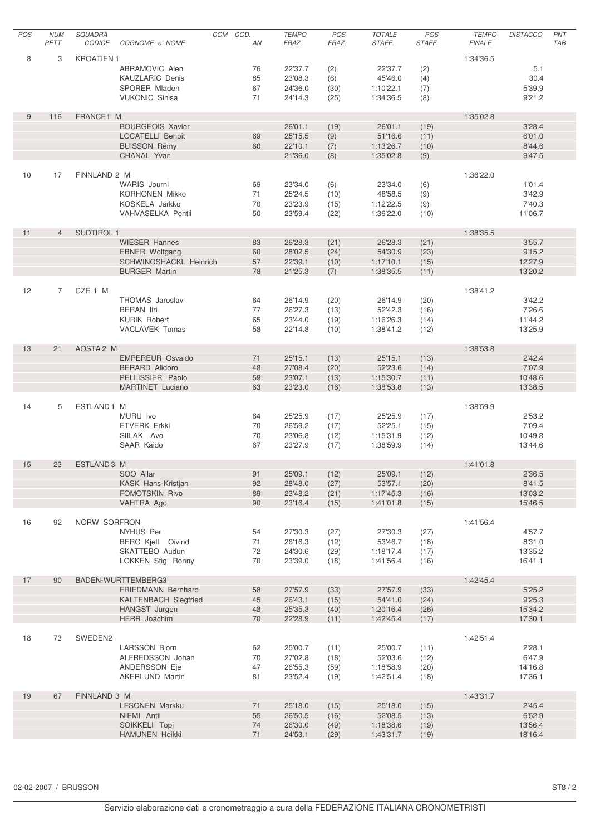| POS | <b>NUM</b>     | SQUADRA              |                                                    | COM COD. | <b>TEMPO</b>       | POS          | <b>TOTALE</b>        | POS          | <b>TEMPO</b>  | <b>DISTACCO</b>   | PNT        |
|-----|----------------|----------------------|----------------------------------------------------|----------|--------------------|--------------|----------------------|--------------|---------------|-------------------|------------|
|     | PETT           | <b>CODICE</b>        | COGNOME e NOME                                     | AN       | FRAZ.              | FRAZ.        | STAFF.               | STAFF.       | <b>FINALE</b> |                   | <b>TAB</b> |
| 8   | 3              | <b>KROATIEN 1</b>    |                                                    |          |                    |              |                      |              | 1:34'36.5     |                   |            |
|     |                |                      | ABRAMOVIC Alen                                     | 76       | 22'37.7            | (2)          | 22'37.7              | (2)          |               | 5.1               |            |
|     |                |                      | <b>KAUZLARIC Denis</b>                             | 85       | 23'08.3            | (6)          | 45'46.0              | (4)          |               | 30.4              |            |
|     |                |                      | SPORER Mladen                                      | 67       | 24'36.0            | (30)         | 1:10'22.1            | (7)          |               | 5'39.9            |            |
|     |                |                      | <b>VUKONIC Sinisa</b>                              | 71       | 24'14.3            | (25)         | 1:34'36.5            | (8)          |               | 9'21.2            |            |
|     |                |                      |                                                    |          |                    |              |                      |              |               |                   |            |
| 9   | 116            | FRANCE1 M            |                                                    |          |                    |              |                      |              | 1:35'02.8     |                   |            |
|     |                |                      | <b>BOURGEOIS Xavier</b><br><b>LOCATELLI Benoit</b> |          | 26'01.1<br>25'15.5 | (19)         | 26'01.1<br>51'16.6   | (19)         |               | 3'28.4            |            |
|     |                |                      | <b>BUISSON Rémy</b>                                | 69<br>60 | 22'10.1            | (9)<br>(7)   | 1:13'26.7            | (11)<br>(10) |               | 6'01.0<br>8'44.6  |            |
|     |                |                      | CHANAL Yvan                                        |          | 21'36.0            | (8)          | 1:35'02.8            | (9)          |               | 9'47.5            |            |
|     |                |                      |                                                    |          |                    |              |                      |              |               |                   |            |
| 10  | 17             | FINNLAND 2 M         |                                                    |          |                    |              |                      |              | 1:36'22.0     |                   |            |
|     |                |                      | WARIS Journi                                       | 69       | 23'34.0            | (6)          | 23'34.0              | (6)          |               | 1'01.4            |            |
|     |                |                      | <b>KORHONEN Mikko</b>                              | 71       | 25'24.5            | (10)         | 48'58.5              | (9)          |               | 3'42.9            |            |
|     |                |                      | KOSKELA Jarkko                                     | 70       | 23'23.9            | (15)         | 1:12'22.5            | (9)          |               | 7'40.3            |            |
|     |                |                      | VAHVASELKA Pentii                                  | 50       | 23'59.4            | (22)         | 1:36'22.0            | (10)         |               | 11'06.7           |            |
| 11  | $\overline{4}$ | <b>SUDTIROL 1</b>    |                                                    |          |                    |              |                      |              | 1:38'35.5     |                   |            |
|     |                |                      | <b>WIESER Hannes</b>                               | 83       | 26'28.3            | (21)         | 26'28.3              | (21)         |               | 3'55.7            |            |
|     |                |                      | <b>EBNER Wolfgang</b>                              | 60       | 28'02.5            | (24)         | 54'30.9              | (23)         |               | 9'15.2            |            |
|     |                |                      | <b>SCHWINGSHACKL Heinrich</b>                      | 57       | 22'39.1            | (10)         | 1:17'10.1            | (15)         |               | 12'27.9           |            |
|     |                |                      | <b>BURGER Martin</b>                               | 78       | 21'25.3            | (7)          | 1:38'35.5            | (11)         |               | 13'20.2           |            |
|     |                |                      |                                                    |          |                    |              |                      |              |               |                   |            |
| 12  | $\overline{7}$ | CZE 1 M              |                                                    |          |                    |              |                      |              | 1:38'41.2     |                   |            |
|     |                |                      | <b>THOMAS Jaroslav</b>                             | 64       | 26'14.9            | (20)         | 26'14.9              | (20)         |               | 3'42.2            |            |
|     |                |                      | <b>BERAN</b> liri<br><b>KURIK Robert</b>           | 77<br>65 | 26'27.3<br>23'44.0 | (13)<br>(19) | 52'42.3<br>1:16'26.3 | (16)<br>(14) |               | 7'26.6<br>11'44.2 |            |
|     |                |                      | <b>VACLAVEK Tomas</b>                              | 58       | 22'14.8            | (10)         | 1:38'41.2            | (12)         |               | 13'25.9           |            |
|     |                |                      |                                                    |          |                    |              |                      |              |               |                   |            |
| 13  | 21             | AOSTA <sub>2</sub> M |                                                    |          |                    |              |                      |              | 1:38'53.8     |                   |            |
|     |                |                      | <b>EMPEREUR Osvaldo</b>                            | 71       | 25'15.1            | (13)         | 25'15.1              | (13)         |               | 2'42.4            |            |
|     |                |                      | <b>BERARD Alidoro</b>                              | 48       | 27'08.4            | (20)         | 52'23.6              | (14)         |               | 7'07.9            |            |
|     |                |                      | PELLISSIER Paolo                                   | 59       | 23'07.1            | (13)         | 1:15'30.7            | (11)         |               | 10'48.6           |            |
|     |                |                      | <b>MARTINET</b> Luciano                            | 63       | 23'23.0            | (16)         | 1:38'53.8            | (13)         |               | 13'38.5           |            |
| 14  | 5              | ESTLAND1 M           |                                                    |          |                    |              |                      |              | 1:38'59.9     |                   |            |
|     |                |                      | MURU Ivo                                           | 64       | 25'25.9            | (17)         | 25'25.9              | (17)         |               | 2'53.2            |            |
|     |                |                      | <b>ETVERK Erkki</b>                                | 70       | 26'59.2            | (17)         | 52'25.1              | (15)         |               | 7'09.4            |            |
|     |                |                      | SIILAK Avo                                         | 70       | 23'06.8            | (12)         | 1:15'31.9            | (12)         |               | 10'49.8           |            |
|     |                |                      | SAAR Kaido                                         | 67       | 23'27.9            | (17)         | 1:38'59.9            | (14)         |               | 13'44.6           |            |
|     |                |                      |                                                    |          |                    |              |                      |              |               |                   |            |
| 15  | 23             | ESTLAND3 M           |                                                    |          |                    |              |                      |              | 1:41'01.8     |                   |            |
|     |                |                      | SOO Allar                                          | 91       | 25'09.1            | (12)         | 25'09.1              | (12)         |               | 2'36.5            |            |
|     |                |                      | KASK Hans-Kristjan<br>FOMOTSKIN Rivo               | 92<br>89 | 28'48.0<br>23'48.2 | (27)<br>(21) | 53'57.1<br>1:17'45.3 | (20)         |               | 8'41.5<br>13'03.2 |            |
|     |                |                      | VAHTRA Ago                                         | 90       | 23'16.4            | (15)         | 1:41'01.8            | (16)<br>(15) |               | 15'46.5           |            |
|     |                |                      |                                                    |          |                    |              |                      |              |               |                   |            |
| 16  | 92             | NORW SORFRON         |                                                    |          |                    |              |                      |              | 1:41'56.4     |                   |            |
|     |                |                      | NYHUS Per                                          | 54       | 27'30.3            | (27)         | 27'30.3              | (27)         |               | 4'57.7            |            |
|     |                |                      | BERG Kjell Oivind                                  | 71       | 26'16.3            | (12)         | 53'46.7              | (18)         |               | 8'31.0            |            |
|     |                |                      | SKATTEBO Audun                                     | 72       | 24'30.6            | (29)         | 1:18'17.4            | (17)         |               | 13'35.2           |            |
|     |                |                      | LOKKEN Stig Ronny                                  | 70       | 23'39.0            | (18)         | 1:41'56.4            | (16)         |               | 16'41.1           |            |
| 17  | 90             |                      | BADEN-WURTTEMBERG3                                 |          |                    |              |                      |              | 1:42'45.4     |                   |            |
|     |                |                      | FRIEDMANN Bernhard                                 | 58       | 27'57.9            | (33)         | 27'57.9              | (33)         |               | 5'25.2            |            |
|     |                |                      | <b>KALTENBACH Siegfried</b>                        | 45       | 26'43.1            | (15)         | 54'41.0              | (24)         |               | 9'25.3            |            |
|     |                |                      | HANGST Jurgen                                      | 48       | 25'35.3            | (40)         | 1:20'16.4            | (26)         |               | 15'34.2           |            |
|     |                |                      | <b>HERR</b> Joachim                                | 70       | 22'28.9            | (11)         | 1:42'45.4            | (17)         |               | 17'30.1           |            |
|     |                |                      |                                                    |          |                    |              |                      |              |               |                   |            |
| 18  | 73             | SWEDEN2              |                                                    |          |                    |              |                      |              | 1:42'51.4     |                   |            |
|     |                |                      | <b>LARSSON Bjorn</b><br>ALFREDSSON Johan           | 62       | 25'00.7            | (11)         | 25'00.7              | (11)         |               | 2'28.1<br>6'47.9  |            |
|     |                |                      | ANDERSSON Eje                                      | 70<br>47 | 27'02.8<br>26'55.3 | (18)<br>(59) | 52'03.6<br>1:18'58.9 | (12)<br>(20) |               | 14'16.8           |            |
|     |                |                      | <b>AKERLUND Martin</b>                             | 81       | 23'52.4            | (19)         | 1:42'51.4            | (18)         |               | 17'36.1           |            |
|     |                |                      |                                                    |          |                    |              |                      |              |               |                   |            |
| 19  | 67             | FINNLAND 3 M         |                                                    |          |                    |              |                      |              | 1:43'31.7     |                   |            |
|     |                |                      | <b>LESONEN Markku</b>                              | 71       | 25'18.0            | (15)         | 25'18.0              | (15)         |               | 2'45.4            |            |
|     |                |                      | NIEMI Antii                                        | 55       | 26'50.5            | (16)         | 52'08.5              | (13)         |               | 6'52.9            |            |
|     |                |                      | SOIKKELI Topi                                      | 74       | 26'30.0            | (49)         | 1:18'38.6            | (19)         |               | 13'56.4           |            |
|     |                |                      | <b>HAMUNEN Heikki</b>                              | 71       | 24'53.1            | (29)         | 1:43'31.7            | (19)         |               | 18'16.4           |            |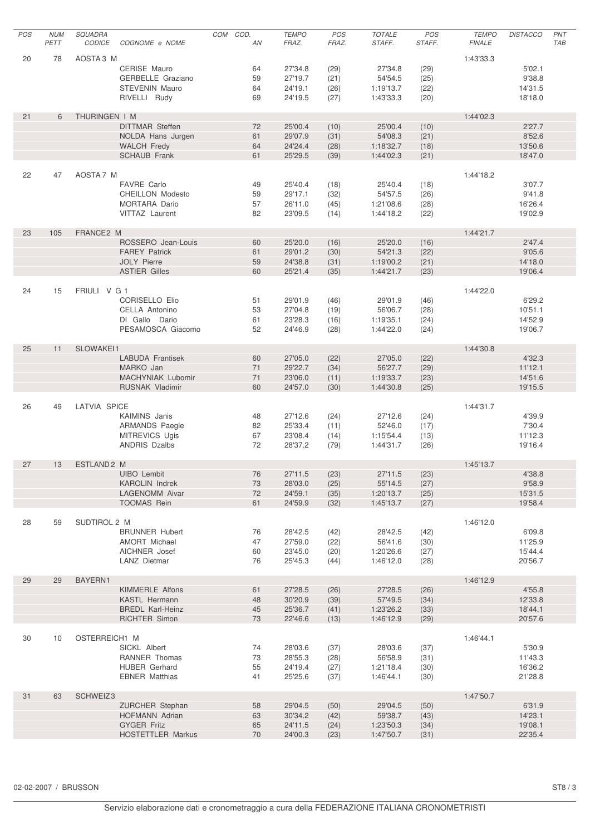| POS | <b>NUM</b> | SQUADRA                |                                         | COM COD. | <b>TEMPO</b>       | POS          | <b>TOTALE</b>        | POS          | <b>TEMPO</b>  | <b>DISTACCO</b>   | PNT        |
|-----|------------|------------------------|-----------------------------------------|----------|--------------------|--------------|----------------------|--------------|---------------|-------------------|------------|
|     | PETT       | <b>CODICE</b>          | COGNOME e NOME                          | AN       | FRAZ.              | FRAZ.        | STAFF.               | STAFF.       | <b>FINALE</b> |                   | <b>TAB</b> |
| 20  | 78         | AOSTA3 M               |                                         |          |                    |              |                      |              | 1:43'33.3     |                   |            |
|     |            |                        | CERISE Mauro                            | 64       | 27'34.8            | (29)         | 27'34.8              | (29)         |               | 5'02.1            |            |
|     |            |                        | GERBELLE Graziano                       | 59       | 27'19.7            | (21)         | 54'54.5              | (25)         |               | 9'38.8            |            |
|     |            |                        | <b>STEVENIN Mauro</b>                   | 64       | 24'19.1            | (26)         | 1:19'13.7            | (22)         |               | 14'31.5           |            |
|     |            |                        | RIVELLI Rudy                            | 69       | 24'19.5            | (27)         | 1:43'33.3            | (20)         |               | 18'18.0           |            |
|     |            |                        |                                         |          |                    |              |                      |              |               |                   |            |
| 21  | 6          | THURINGEN I M          |                                         |          |                    |              |                      |              | 1:44'02.3     |                   |            |
|     |            |                        | <b>DITTMAR Steffen</b>                  | 72       | 25'00.4            | (10)         | 25'00.4              | (10)         |               | 2'27.7            |            |
|     |            |                        | NOLDA Hans Jurgen<br><b>WALCH Fredy</b> | 61<br>64 | 29'07.9<br>24'24.4 | (31)<br>(28) | 54'08.3<br>1:18'32.7 | (21)<br>(18) |               | 8'52.6<br>13'50.6 |            |
|     |            |                        | <b>SCHAUB Frank</b>                     | 61       | 25'29.5            | (39)         | 1:44'02.3            | (21)         |               | 18'47.0           |            |
|     |            |                        |                                         |          |                    |              |                      |              |               |                   |            |
| 22  | 47         | AOSTA7 M               |                                         |          |                    |              |                      |              | 1:44'18.2     |                   |            |
|     |            |                        | <b>FAVRE Carlo</b>                      | 49       | 25'40.4            | (18)         | 25'40.4              | (18)         |               | 3'07.7            |            |
|     |            |                        | <b>CHEILLON Modesto</b>                 | 59       | 29'17.1            | (32)         | 54'57.5              | (26)         |               | 9'41.8            |            |
|     |            |                        | MORTARA Dario                           | 57       | 26'11.0            | (45)         | 1:21'08.6            | (28)         |               | 16'26.4           |            |
|     |            |                        | VITTAZ Laurent                          | 82       | 23'09.5            | (14)         | 1:44'18.2            | (22)         |               | 19'02.9           |            |
|     |            |                        |                                         |          |                    |              |                      |              |               |                   |            |
| 23  | 105        | FRANCE2 M              | ROSSERO Jean-Louis                      | 60       | 25'20.0            | (16)         | 25'20.0              | (16)         | 1:44'21.7     | 2'47.4            |            |
|     |            |                        | <b>FAREY Patrick</b>                    | 61       | 29'01.2            | (30)         | 54'21.3              | (22)         |               | 9'05.6            |            |
|     |            |                        | <b>JOLY Pierre</b>                      | 59       | 24'38.8            | (31)         | 1:19'00.2            | (21)         |               | 14'18.0           |            |
|     |            |                        | <b>ASTIER Gilles</b>                    | 60       | 25'21.4            | (35)         | 1:44'21.7            | (23)         |               | 19'06.4           |            |
|     |            |                        |                                         |          |                    |              |                      |              |               |                   |            |
| 24  | 15         | FRIULI V G 1           |                                         |          |                    |              |                      |              | 1:44'22.0     |                   |            |
|     |            |                        | <b>CORISELLO Elio</b>                   | 51       | 29'01.9            | (46)         | 29'01.9              | (46)         |               | 6'29.2            |            |
|     |            |                        | CELLA Antonino                          | 53       | 27'04.8            | (19)         | 56'06.7              | (28)         |               | 10'51.1           |            |
|     |            |                        | DI Gallo Dario                          | 61       | 23'28.3            | (16)         | 1:19'35.1            | (24)         |               | 14'52.9           |            |
|     |            |                        | PESAMOSCA Giacomo                       | 52       | 24'46.9            | (28)         | 1:44'22.0            | (24)         |               | 19'06.7           |            |
|     |            |                        |                                         |          |                    |              |                      |              |               |                   |            |
| 25  | 11         | SLOWAKEI1              | <b>LABUDA Frantisek</b>                 | 60       | 27'05.0            | (22)         | 27'05.0              | (22)         | 1:44'30.8     | 4'32.3            |            |
|     |            |                        | MARKO Jan                               | 71       | 29'22.7            | (34)         | 56'27.7              | (29)         |               | 11'12.1           |            |
|     |            |                        | MACHYNIAK Lubomir                       | 71       | 23'06.0            | (11)         | 1:19'33.7            | (23)         |               | 14'51.6           |            |
|     |            |                        | <b>RUSNAK Vladimir</b>                  | 60       | 24'57.0            | (30)         | 1:44'30.8            | (25)         |               | 19'15.5           |            |
|     |            |                        |                                         |          |                    |              |                      |              |               |                   |            |
| 26  | 49         | LATVIA SPICE           |                                         |          |                    |              |                      |              | 1:44'31.7     |                   |            |
|     |            |                        | KAIMINS Janis                           | 48       | 27'12.6            | (24)         | 27'12.6              | (24)         |               | 4'39.9            |            |
|     |            |                        | <b>ARMANDS Paegle</b>                   | 82       | 25'33.4            | (11)         | 52'46.0              | (17)         |               | 7'30.4            |            |
|     |            |                        | MITREVICS Ugis                          | 67       | 23'08.4            | (14)         | 1:15'54.4            | (13)         |               | 11'12.3           |            |
|     |            |                        | <b>ANDRIS Dzalbs</b>                    | 72       | 28'37.2            | (79)         | 1:44'31.7            | (26)         |               | 19'16.4           |            |
|     |            |                        |                                         |          |                    |              |                      |              |               |                   |            |
| 27  | 13         | ESTLAND <sub>2</sub> M | UIBO Lembit                             | 76       | 27'11.5            | (23)         | 27'11.5              | (23)         | 1:45'13.7     | 4'38.8            |            |
|     |            |                        | <b>KAROLIN Indrek</b>                   | 73       | 28'03.0            | (25)         | 55'14.5              | (27)         |               | 9'58.9            |            |
|     |            |                        | LAGENOMM Aivar                          | 72       | 24'59.1            | (35)         | 1:20'13.7            | (25)         |               | 15'31.5           |            |
|     |            |                        | <b>TOOMAS Rein</b>                      | 61       | 24'59.9            | (32)         | 1:45'13.7            | (27)         |               | 19'58.4           |            |
|     |            |                        |                                         |          |                    |              |                      |              |               |                   |            |
| 28  | 59         | SUDTIROL 2 M           |                                         |          |                    |              |                      |              | 1:46'12.0     |                   |            |
|     |            |                        | <b>BRUNNER Hubert</b>                   | 76       | 28'42.5            | (42)         | 28'42.5              | (42)         |               | 6'09.8            |            |
|     |            |                        | <b>AMORT Michael</b>                    | 47       | 27'59.0            | (22)         | 56'41.6              | (30)         |               | 11'25.9           |            |
|     |            |                        | AICHNER Josef                           | 60       | 23'45.0            | (20)         | 1:20'26.6            | (27)         |               | 15'44.4           |            |
|     |            |                        | LANZ Dietmar                            | 76       | 25'45.3            | (44)         | 1:46'12.0            | (28)         |               | 20'56.7           |            |
| 29  | 29         | BAYERN1                |                                         |          |                    |              |                      |              | 1:46'12.9     |                   |            |
|     |            |                        | <b>KIMMERLE Alfons</b>                  | 61       | 27'28.5            | (26)         | 27'28.5              | (26)         |               | 4'55.8            |            |
|     |            |                        | KASTL Hermann                           | 48       | 30'20.9            | (39)         | 57'49.5              | (34)         |               | 12'33.8           |            |
|     |            |                        | <b>BREDL Karl-Heinz</b>                 | 45       | 25'36.7            | (41)         | 1:23'26.2            | (33)         |               | 18'44.1           |            |
|     |            |                        | <b>RICHTER Simon</b>                    | 73       | 22'46.6            | (13)         | 1:46'12.9            | (29)         |               | 20'57.6           |            |
|     |            |                        |                                         |          |                    |              |                      |              |               |                   |            |
| 30  | 10         | OSTERREICH1 M          |                                         |          |                    |              |                      |              | 1:46'44.1     |                   |            |
|     |            |                        | SICKL Albert                            | 74       | 28'03.6            | (37)         | 28'03.6              | (37)         |               | 5'30.9            |            |
|     |            |                        | RANNER Thomas                           | 73       | 28'55.3            | (28)         | 56'58.9              | (31)         |               | 11'43.3           |            |
|     |            |                        | <b>HUBER Gerhard</b>                    | 55       | 24'19.4            | (27)         | 1:21'18.4            | (30)         |               | 16'36.2           |            |
|     |            |                        | <b>EBNER Matthias</b>                   | 41       | 25'25.6            | (37)         | 1:46'44.1            | (30)         |               | 21'28.8           |            |
| 31  | 63         | SCHWEIZ3               |                                         |          |                    |              |                      |              | 1:47'50.7     |                   |            |
|     |            |                        | ZURCHER Stephan                         | 58       | 29'04.5            | (50)         | 29'04.5              | (50)         |               | 6'31.9            |            |
|     |            |                        | <b>HOFMANN Adrian</b>                   | 63       | 30'34.2            | (42)         | 59'38.7              | (43)         |               | 14'23.1           |            |
|     |            |                        | <b>GYGER Fritz</b>                      | 65       | 24'11.5            | (24)         | 1:23'50.3            | (34)         |               | 19'08.1           |            |
|     |            |                        | <b>HOSTETTLER Markus</b>                | 70       | 24'00.3            | (23)         | 1:47'50.7            | (31)         |               | 22'35.4           |            |
|     |            |                        |                                         |          |                    |              |                      |              |               |                   |            |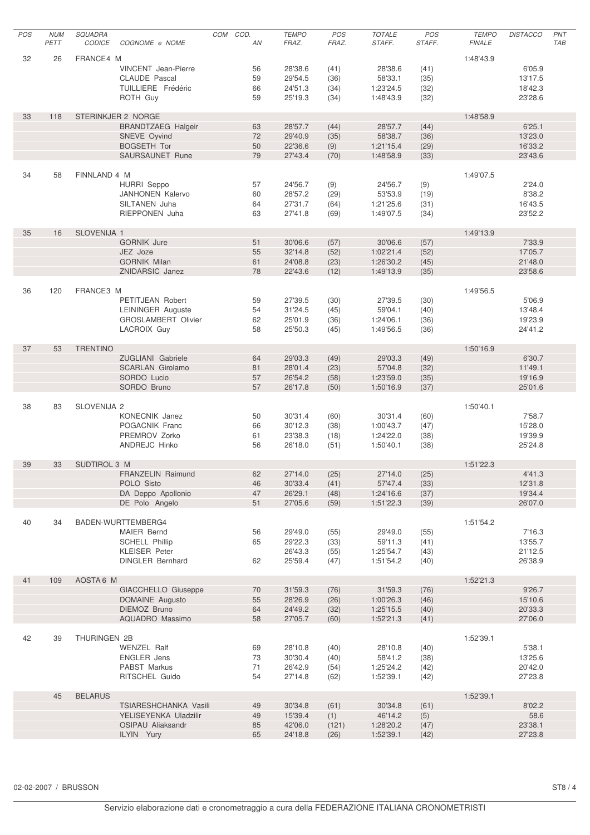| POS | <b>NUM</b> | SQUADRA             |                                 | COM | COD.     | <b>TEMPO</b>       | POS          | TOTALE                 | POS          | <b>TEMPO</b>  | <b>DISTACCO</b>    | PNT        |
|-----|------------|---------------------|---------------------------------|-----|----------|--------------------|--------------|------------------------|--------------|---------------|--------------------|------------|
|     | PETT       | <b>CODICE</b>       | COGNOME e NOME                  |     | AN       | FRAZ.              | FRAZ.        | STAFF.                 | STAFF.       | <b>FINALE</b> |                    | <b>TAB</b> |
| 32  | 26         | FRANCE4 M           |                                 |     |          |                    |              |                        |              | 1:48'43.9     |                    |            |
|     |            |                     | <b>VINCENT</b> Jean-Pierre      |     | 56       | 28'38.6            | (41)         | 28'38.6                | (41)         |               | 6'05.9             |            |
|     |            |                     | <b>CLAUDE Pascal</b>            |     | 59       | 29'54.5            | (36)         | 58'33.1                | (35)         |               | 13'17.5            |            |
|     |            |                     | TUILLIERE Frédéric              |     | 66       | 24'51.3            | (34)         | 1:23'24.5              | (32)         |               | 18'42.3            |            |
|     |            |                     | ROTH Guy                        |     | 59       | 25'19.3            | (34)         | 1:48'43.9              | (32)         |               | 23'28.6            |            |
|     |            |                     |                                 |     |          |                    |              |                        |              |               |                    |            |
| 33  | 118        |                     | STERINKJER 2 NORGE              |     |          |                    |              |                        |              | 1:48'58.9     |                    |            |
|     |            |                     | <b>BRANDTZAEG Halgeir</b>       |     | 63       | 28'57.7            | (44)         | 28'57.7                | (44)         |               | 6'25.1             |            |
|     |            |                     | SNEVE Oyvind                    |     | 72       | 29'40.9            | (35)         | 58'38.7                | (36)         |               | 13'23.0            |            |
|     |            |                     | <b>BOGSETH Tor</b>              |     | 50       | 22'36.6            | (9)          | 1:21'15.4              | (29)         |               | 16'33.2            |            |
|     |            |                     | SAURSAUNET Rune                 |     | 79       | 27'43.4            | (70)         | 1:48'58.9              | (33)         |               | 23'43.6            |            |
| 34  | 58         | FINNLAND 4 M        |                                 |     |          |                    |              |                        |              | 1:49'07.5     |                    |            |
|     |            |                     | <b>HURRI Seppo</b>              |     | 57       | 24'56.7            | (9)          | 24'56.7                | (9)          |               | 2'24.0             |            |
|     |            |                     | <b>JANHONEN Kalervo</b>         |     | 60       | 28'57.2            | (29)         | 53'53.9                | (19)         |               | 8'38.2             |            |
|     |            |                     | SILTANEN Juha                   |     | 64       | 27'31.7            | (64)         | 1:21'25.6              | (31)         |               | 16'43.5            |            |
|     |            |                     | <b>RIEPPONEN Juha</b>           |     | 63       | 27'41.8            | (69)         | 1:49'07.5              | (34)         |               | 23'52.2            |            |
|     |            |                     |                                 |     |          |                    |              |                        |              |               |                    |            |
| 35  | 16         | SLOVENIJA 1         |                                 |     |          |                    |              |                        |              | 1:49'13.9     |                    |            |
|     |            |                     | <b>GORNIK Jure</b>              |     | 51       | 30'06.6            | (57)         | 30'06.6                | (57)         |               | 7'33.9             |            |
|     |            |                     | JEZ Joze                        |     | 55       | 32'14.8            | (52)         | 1:02'21.4              | (52)         |               | 17'05.7            |            |
|     |            |                     | <b>GORNIK Milan</b>             |     | 61       | 24'08.8            | (23)         | 1:26'30.2              | (45)         |               | 21'48.0            |            |
|     |            |                     | ZNIDARSIC Janez                 |     | 78       | 22'43.6            | (12)         | 1:49'13.9              | (35)         |               | 23'58.6            |            |
| 36  | 120        | FRANCE3 M           |                                 |     |          |                    |              |                        |              | 1:49'56.5     |                    |            |
|     |            |                     | PETITJEAN Robert                |     | 59       | 27'39.5            | (30)         | 27'39.5                | (30)         |               | 5'06.9             |            |
|     |            |                     | <b>LEININGER Auguste</b>        |     | 54       | 31'24.5            | (45)         | 59'04.1                | (40)         |               | 13'48.4            |            |
|     |            |                     | GROSLAMBERT Olivier             |     | 62       | 25'01.9            | (36)         | 1:24'06.1              | (36)         |               | 19'23.9            |            |
|     |            |                     | LACROIX Guy                     |     | 58       | 25'50.3            | (45)         | 1:49'56.5              | (36)         |               | 24'41.2            |            |
|     |            |                     |                                 |     |          |                    |              |                        |              |               |                    |            |
| 37  | 53         | <b>TRENTINO</b>     |                                 |     |          |                    |              |                        |              | 1:50'16.9     |                    |            |
|     |            |                     | ZUGLIANI Gabriele               |     | 64       | 29'03.3            | (49)         | 29'03.3                | (49)         |               | 6'30.7             |            |
|     |            |                     | <b>SCARLAN Girolamo</b>         |     | 81       | 28'01.4            | (23)         | 57'04.8                | (32)         |               | 11'49.1            |            |
|     |            |                     | SORDO Lucio                     |     | 57       | 26'54.2            | (58)         | 1:23'59.0              | (35)         |               | 19'16.9            |            |
|     |            |                     | SORDO Bruno                     |     | 57       | 26'17.8            | (50)         | 1:50'16.9              | (37)         |               | 25'01.6            |            |
| 38  | 83         | SLOVENIJA 2         |                                 |     |          |                    |              |                        |              | 1:50'40.1     |                    |            |
|     |            |                     | KONECNIK Janez                  |     | 50       | 30'31.4            | (60)         | 30'31.4                | (60)         |               | 7'58.7             |            |
|     |            |                     | POGACNIK Franc                  |     | 66       | 30'12.3            | (38)         | 1:00'43.7              | (47)         |               | 15'28.0            |            |
|     |            |                     | PREMROV Zorko                   |     | 61       | 23'38.3            | (18)         | 1:24'22.0              | (38)         |               | 19'39.9            |            |
|     |            |                     | ANDREJC Hinko                   |     | 56       | 26'18.0            | (51)         | 1:50'40.1              | (38)         |               | 25'24.8            |            |
|     |            |                     |                                 |     |          |                    |              |                        |              |               |                    |            |
| 39  | 33         | <b>SUDTIROL 3 M</b> |                                 |     |          |                    |              |                        |              | 1:51'22.3     |                    |            |
|     |            |                     | FRANZELIN Raimund               |     | 62       | 27'14.0            | (25)         | 27'14.0                | (25)         |               | 4'41.3             |            |
|     |            |                     | POLO Sisto                      |     | 46       | 30'33.4            | (41)         | 57'47.4                | (33)         |               | 12'31.8            |            |
|     |            |                     | DA Deppo Apollonio              |     | 47       | 26'29.1            | (48)         | 1:24'16.6              | (37)         |               | 19'34.4            |            |
|     |            |                     | DE Polo Angelo                  |     | 51       | 27'05.6            | (59)         | 1:51'22.3              | (39)         |               | 26'07.0            |            |
| 40  | 34         |                     | BADEN-WURTTEMBERG4              |     |          |                    |              |                        |              | 1:51'54.2     |                    |            |
|     |            |                     | MAIER Bernd                     |     | 56       | 29'49.0            | (55)         | 29'49.0                | (55)         |               | 7'16.3             |            |
|     |            |                     | <b>SCHELL Phillip</b>           |     | 65       | 29'22.3            | (33)         | 59'11.3                | (41)         |               | 13'55.7            |            |
|     |            |                     | <b>KLEISER</b> Peter            |     |          | 26'43.3            | (55)         | 1:25'54.7              | (43)         |               | 21'12.5            |            |
|     |            |                     | <b>DINGLER Bernhard</b>         |     | 62       | 25'59.4            | (47)         | 1:51'54.2              | (40)         |               | 26'38.9            |            |
|     |            |                     |                                 |     |          |                    |              |                        |              |               |                    |            |
| 41  | 109        | AOSTA6 M            |                                 |     |          |                    |              |                        |              | 1:52'21.3     |                    |            |
|     |            |                     | GIACCHELLO Giuseppe             |     | 70       | 31'59.3            | (76)         | 31'59.3                | (76)         |               | 9'26.7             |            |
|     |            |                     | DOMAINE Augusto<br>DIEMOZ Bruno |     | 55       | 28'26.9            | (26)         | 1:00'26.3              | (46)         |               | 15'10.6<br>20'33.3 |            |
|     |            |                     | AQUADRO Massimo                 |     | 64<br>58 | 24'49.2<br>27'05.7 | (32)<br>(60) | 1:25'15.5<br>1:52'21.3 | (40)<br>(41) |               | 27'06.0            |            |
|     |            |                     |                                 |     |          |                    |              |                        |              |               |                    |            |
| 42  | 39         | THURINGEN 2B        |                                 |     |          |                    |              |                        |              | 1:52'39.1     |                    |            |
|     |            |                     | <b>WENZEL Ralf</b>              |     | 69       | 28'10.8            | (40)         | 28'10.8                | (40)         |               | 5'38.1             |            |
|     |            |                     | <b>ENGLER</b> Jens              |     | 73       | 30'30.4            | (40)         | 58'41.2                | (38)         |               | 13'25.6            |            |
|     |            |                     | PABST Markus                    |     | 71       | 26'42.9            | (54)         | 1:25'24.2              | (42)         |               | 20'42.0            |            |
|     |            |                     | RITSCHEL Guido                  |     | 54       | 27'14.8            | (62)         | 1:52'39.1              | (42)         |               | 27'23.8            |            |
|     | 45         | <b>BELARUS</b>      |                                 |     |          |                    |              |                        |              | 1:52'39.1     |                    |            |
|     |            |                     | TSIARESHCHANKA Vasili           |     | 49       | 30'34.8            | (61)         | 30'34.8                | (61)         |               | 8'02.2             |            |
|     |            |                     | YELISEYENKA Uladzilir           |     | 49       | 15'39.4            | (1)          | 46'14.2                | (5)          |               | 58.6               |            |
|     |            |                     | OSIPAU Aliaksandr               |     | 85       | 42'06.0            | (121)        | 1:28'20.2              | (47)         |               | 23'38.1            |            |
|     |            |                     | ILYIN Yury                      |     | 65       | 24'18.8            | (26)         | 1:52'39.1              | (42)         |               | 27'23.8            |            |
|     |            |                     |                                 |     |          |                    |              |                        |              |               |                    |            |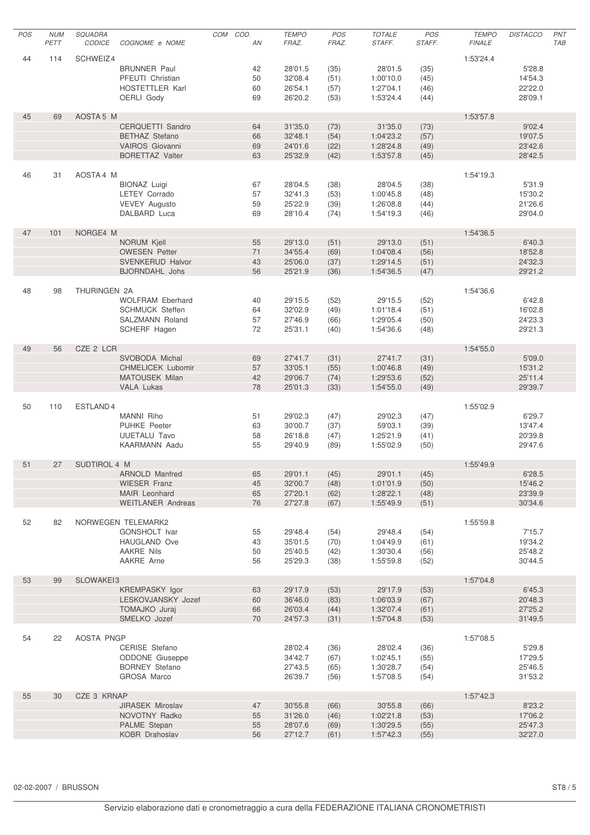| POS | <b>NUM</b> | SQUADRA             |                                            | COM COD. | <b>TEMPO</b>       | POS          | <b>TOTALE</b>          | POS          | <b>TEMPO</b>  | <b>DISTACCO</b>    | PNT        |
|-----|------------|---------------------|--------------------------------------------|----------|--------------------|--------------|------------------------|--------------|---------------|--------------------|------------|
|     | PETT       | CODICE              | COGNOME e NOME                             | AN       | FRAZ.              | FRAZ.        | STAFF.                 | STAFF.       | <b>FINALE</b> |                    | <b>TAB</b> |
| 44  | 114        | SCHWEIZ4            |                                            |          |                    |              |                        |              | 1:53'24.4     |                    |            |
|     |            |                     | <b>BRUNNER Paul</b>                        | 42       | 28'01.5            | (35)         | 28'01.5                | (35)         |               | 5'28.8             |            |
|     |            |                     | PFEUTI Christian                           | 50       | 32'08.4            | (51)         | 1:00'10.0              | (45)         |               | 14'54.3            |            |
|     |            |                     | HOSTETTLER Karl                            | 60       | 26'54.1            | (57)         | 1:27'04.1              | (46)         |               | 22'22.0            |            |
|     |            |                     | <b>OERLI Gody</b>                          | 69       | 26'20.2            | (53)         | 1:53'24.4              | (44)         |               | 28'09.1            |            |
|     |            |                     |                                            |          |                    |              |                        |              |               |                    |            |
| 45  | 69         | AOSTA 5 M           |                                            |          |                    |              |                        |              | 1:53'57.8     |                    |            |
|     |            |                     | CERQUETTI Sandro                           | 64       | 31'35.0            | (73)         | 31'35.0                | (73)         |               | 9'02.4             |            |
|     |            |                     | <b>BETHAZ Stefano</b><br>VAIROS Giovanni   | 66       | 32'48.1<br>24'01.6 | (54)         | 1:04'23.2              | (57)         |               | 19'07.5            |            |
|     |            |                     | <b>BORETTAZ Valter</b>                     | 69<br>63 | 25'32.9            | (22)<br>(42) | 1:28'24.8<br>1:53'57.8 | (49)<br>(45) |               | 23'42.6<br>28'42.5 |            |
|     |            |                     |                                            |          |                    |              |                        |              |               |                    |            |
| 46  | 31         | AOSTA4 M            |                                            |          |                    |              |                        |              | 1:54'19.3     |                    |            |
|     |            |                     | <b>BIONAZ Luigi</b>                        | 67       | 28'04.5            | (38)         | 28'04.5                | (38)         |               | 5'31.9             |            |
|     |            |                     | <b>LETEY Corrado</b>                       | 57       | 32'41.3            | (53)         | 1:00'45.8              | (48)         |               | 15'30.2            |            |
|     |            |                     | <b>VEVEY Augusto</b>                       | 59       | 25'22.9            | (39)         | 1:26'08.8              | (44)         |               | 21'26.6            |            |
|     |            |                     | DALBARD Luca                               | 69       | 28'10.4            | (74)         | 1:54'19.3              | (46)         |               | 29'04.0            |            |
|     |            |                     |                                            |          |                    |              |                        |              |               |                    |            |
| 47  | 101        | NORGE4 M            | NORUM Kjell                                | 55       |                    |              |                        |              | 1:54'36.5     | 6'40.3             |            |
|     |            |                     | <b>OWESEN Petter</b>                       | 71       | 29'13.0<br>34'55.4 | (51)<br>(69) | 29'13.0<br>1:04'08.4   | (51)<br>(56) |               | 18'52.8            |            |
|     |            |                     | SVENKERUD Halvor                           | 43       | 25'06.0            | (37)         | 1:29'14.5              | (51)         |               | 24'32.3            |            |
|     |            |                     | <b>BJORNDAHL Johs</b>                      | 56       | 25'21.9            | (36)         | 1:54'36.5              | (47)         |               | 29'21.2            |            |
|     |            |                     |                                            |          |                    |              |                        |              |               |                    |            |
| 48  | 98         | <b>THURINGEN 2A</b> |                                            |          |                    |              |                        |              | 1:54'36.6     |                    |            |
|     |            |                     | <b>WOLFRAM Eberhard</b>                    | 40       | 29'15.5            | (52)         | 29'15.5                | (52)         |               | 6'42.8             |            |
|     |            |                     | <b>SCHMUCK Steffen</b>                     | 64       | 32'02.9            | (49)         | 1:01'18.4              | (51)         |               | 16'02.8            |            |
|     |            |                     | SALZMANN Roland                            | 57       | 27'46.9            | (66)         | 1:29'05.4              | (50)         |               | 24'23.3            |            |
|     |            |                     | SCHERF Hagen                               | 72       | 25'31.1            | (40)         | 1:54'36.6              | (48)         |               | 29'21.3            |            |
|     |            |                     |                                            |          |                    |              |                        |              |               |                    |            |
| 49  | 56         | CZE 2 LCR           |                                            |          |                    |              |                        |              | 1:54'55.0     |                    |            |
|     |            |                     | SVOBODA Michal<br><b>CHMELICEK Lubomir</b> | 69<br>57 | 27'41.7<br>33'05.1 | (31)         | 27'41.7<br>1:00'46.8   | (31)         |               | 5'09.0<br>15'31.2  |            |
|     |            |                     | <b>MATOUSEK Milan</b>                      | 42       | 29'06.7            | (55)<br>(74) | 1:29'53.6              | (49)<br>(52) |               | 25'11.4            |            |
|     |            |                     | <b>VALA Lukas</b>                          | 78       | 25'01.3            | (33)         | 1:54'55.0              | (49)         |               | 29'39.7            |            |
|     |            |                     |                                            |          |                    |              |                        |              |               |                    |            |
| 50  | 110        | ESTLAND4            |                                            |          |                    |              |                        |              | 1:55'02.9     |                    |            |
|     |            |                     | MANNI Riho                                 | 51       | 29'02.3            | (47)         | 29'02.3                | (47)         |               | 6'29.7             |            |
|     |            |                     | <b>PUHKE Peeter</b>                        | 63       | 30'00.7            | (37)         | 59'03.1                | (39)         |               | 13'47.4            |            |
|     |            |                     | <b>UUETALU Tavo</b>                        | 58       | 26'18.8            | (47)         | 1:25'21.9              | (41)         |               | 20'39.8            |            |
|     |            |                     | <b>KAARMANN Aadu</b>                       | 55       | 29'40.9            | (89)         | 1:55'02.9              | (50)         |               | 29'47.6            |            |
|     |            |                     |                                            |          |                    |              |                        |              |               |                    |            |
| 51  | 27         | SUDTIROL 4 M        | ARNOLD Manfred                             | 65       | 29'01.1            | (45)         | 29'01.1                | (45)         | 1:55'49.9     | 6'28.5             |            |
|     |            |                     | <b>WIESER Franz</b>                        | 45       | 32'00.7            | (48)         | 1:01'01.9              | (50)         |               | 15'46.2            |            |
|     |            |                     | MAIR Leonhard                              | 65       | 27'20.1            | (62)         | 1:28'22.1              | (48)         |               | 23'39.9            |            |
|     |            |                     | <b>WEITLANER Andreas</b>                   | 76       | 27'27.8            | (67)         | 1:55'49.9              | (51)         |               | 30'34.6            |            |
|     |            |                     |                                            |          |                    |              |                        |              |               |                    |            |
| 52  | 82         |                     | NORWEGEN TELEMARK2                         |          |                    |              |                        |              | 1:55'59.8     |                    |            |
|     |            |                     | <b>GONSHOLT Ivar</b>                       | 55       | 29'48.4            | (54)         | 29'48.4                | (54)         |               | 7'15.7             |            |
|     |            |                     | HAUGLAND Ove                               | 43       | 35'01.5            | (70)         | 1:04'49.9              | (61)         |               | 19'34.2            |            |
|     |            |                     | <b>AAKRE Nils</b>                          | 50       | 25'40.5            | (42)         | 1:30'30.4              | (56)         |               | 25'48.2            |            |
|     |            |                     | AAKRE Arne                                 | 56       | 25'29.3            | (38)         | 1:55'59.8              | (52)         |               | 30'44.5            |            |
| 53  | 99         | SLOWAKEI3           |                                            |          |                    |              |                        |              | 1:57'04.8     |                    |            |
|     |            |                     | KREMPASKY Igor                             | 63       | 29'17.9            | (53)         | 29'17.9                | (53)         |               | 6'45.3             |            |
|     |            |                     | LESKOVJANSKY Jozef                         | 60       | 36'46.0            | (83)         | 1:06'03.9              | (67)         |               | 20'48.3            |            |
|     |            |                     | <b>TOMAJKO</b> Juraj                       | 66       | 26'03.4            | (44)         | 1:32'07.4              | (61)         |               | 27'25.2            |            |
|     |            |                     | SMELKO Jozef                               | 70       | 24'57.3            | (31)         | 1:57'04.8              | (53)         |               | 31'49.5            |            |
|     |            |                     |                                            |          |                    |              |                        |              |               |                    |            |
| 54  | 22         | AOSTA PNGP          |                                            |          |                    |              |                        |              | 1:57'08.5     |                    |            |
|     |            |                     | CERISE Stefano                             |          | 28'02.4            | (36)         | 28'02.4                | (36)         |               | 5'29.8             |            |
|     |            |                     | <b>ODDONE</b> Giuseppe                     |          | 34'42.7            | (67)         | 1:02'45.1              | (55)         |               | 17'29.5            |            |
|     |            |                     | <b>BORNEY Stefano</b>                      |          | 27'43.5            | (65)         | 1:30'28.7              | (54)         |               | 25'46.5            |            |
|     |            |                     | <b>GROSA Marco</b>                         |          | 26'39.7            | (56)         | 1:57'08.5              | (54)         |               | 31'53.2            |            |
| 55  | 30         | CZE 3 KRNAP         |                                            |          |                    |              |                        |              | 1:57'42.3     |                    |            |
|     |            |                     | JIRASEK Miroslav                           | 47       | 30'55.8            | (66)         | 30'55.8                | (66)         |               | 8'23.2             |            |
|     |            |                     | NOVOTNY Radko                              | 55       | 31'26.0            | (46)         | 1:02'21.8              | (53)         |               | 17'06.2            |            |
|     |            |                     | PALME Stepan                               | 55       | 28'07.6            | (69)         | 1:30'29.5              | (55)         |               | 25'47.3            |            |
|     |            |                     | KOBR Drahoslav                             | 56       | 27'12.7            | (61)         | 1:57'42.3              | (55)         |               | 32'27.0            |            |
|     |            |                     |                                            |          |                    |              |                        |              |               |                    |            |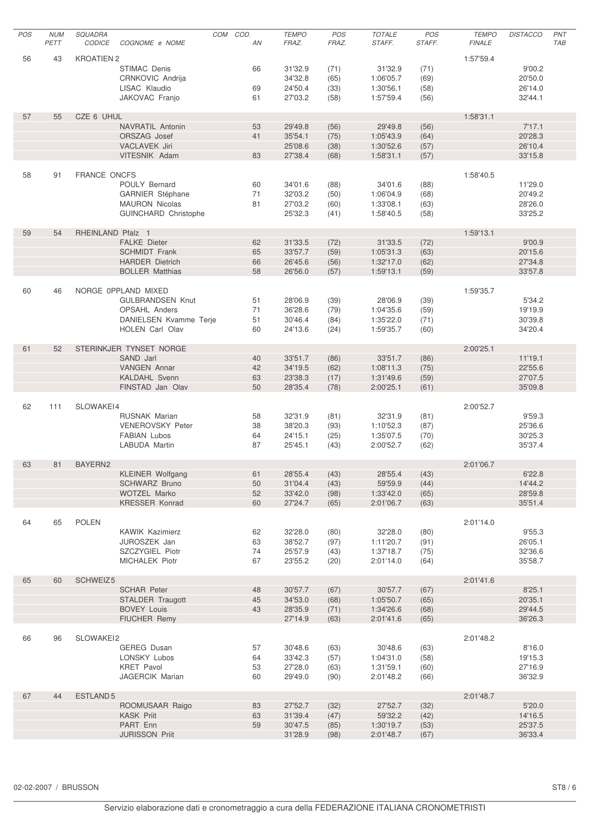| POS | <b>NUM</b> | SQUADRA             |                             | COM | COD. | <b>TEMPO</b> | POS   | <b>TOTALE</b> | POS    | <b>TEMPO</b>  | <b>DISTACCO</b> | PNT        |
|-----|------------|---------------------|-----------------------------|-----|------|--------------|-------|---------------|--------|---------------|-----------------|------------|
|     | PETT       | <b>CODICE</b>       | COGNOME e NOME              |     | AN   | FRAZ.        | FRAZ. | STAFF.        | STAFF. | <b>FINALE</b> |                 | <b>TAB</b> |
|     |            |                     |                             |     |      |              |       |               |        |               |                 |            |
| 56  | 43         | <b>KROATIEN 2</b>   |                             |     |      |              |       |               |        | 1:57'59.4     |                 |            |
|     |            |                     | STIMAC Denis                |     | 66   | 31'32.9      | (71)  | 31'32.9       | (71)   |               | 9'00.2          |            |
|     |            |                     | CRNKOVIC Andrija            |     |      | 34'32.8      | (65)  | 1:06'05.7     | (69)   |               | 20'50.0         |            |
|     |            |                     | LISAC Klaudio               |     | 69   | 24'50.4      | (33)  | 1:30'56.1     | (58)   |               | 26'14.0         |            |
|     |            |                     | JAKOVAC Franjo              |     | 61   | 27'03.2      | (58)  | 1:57'59.4     | (56)   |               | 32'44.1         |            |
|     |            |                     |                             |     |      |              |       |               |        |               |                 |            |
| 57  | 55         | CZE 6 UHUL          |                             |     |      |              |       |               |        | 1:58'31.1     |                 |            |
|     |            |                     | NAVRATIL Antonin            |     | 53   | 29'49.8      | (56)  | 29'49.8       | (56)   |               | 7'17.1          |            |
|     |            |                     | ORSZAG Josef                |     | 41   | 35'54.1      | (75)  | 1:05'43.9     | (64)   |               | 20'28.3         |            |
|     |            |                     | VACLAVEK Jiri               |     |      | 25'08.6      | (38)  | 1:30'52.6     | (57)   |               | 26'10.4         |            |
|     |            |                     | VITESNIK Adam               |     | 83   | 27'38.4      | (68)  | 1:58'31.1     | (57)   |               | 33'15.8         |            |
|     |            |                     |                             |     |      |              |       |               |        |               |                 |            |
| 58  | 91         | <b>FRANCE ONCFS</b> |                             |     |      |              |       |               |        | 1:58'40.5     |                 |            |
|     |            |                     | POULY Bernard               |     | 60   | 34'01.6      | (88)  | 34'01.6       | (88)   |               | 11'29.0         |            |
|     |            |                     | <b>GARNIER Stéphane</b>     |     | 71   | 32'03.2      | (50)  | 1:06'04.9     | (68)   |               | 20'49.2         |            |
|     |            |                     | <b>MAURON Nicolas</b>       |     | 81   | 27'03.2      | (60)  | 1:33'08.1     | (63)   |               | 28'26.0         |            |
|     |            |                     | <b>GUINCHARD Christophe</b> |     |      | 25'32.3      | (41)  | 1:58'40.5     | (58)   |               | 33'25.2         |            |
|     |            |                     |                             |     |      |              |       |               |        |               |                 |            |
| 59  | 54         | RHEINLAND Pfalz 1   |                             |     |      |              |       |               |        | 1:59'13.1     |                 |            |
|     |            |                     | <b>FALKE Dieter</b>         |     | 62   | 31'33.5      | (72)  | 31'33.5       | (72)   |               | 9'00.9          |            |
|     |            |                     | <b>SCHMIDT Frank</b>        |     | 65   | 33'57.7      | (59)  | 1:05'31.3     | (63)   |               | 20'15.6         |            |
|     |            |                     | <b>HARDER Dietrich</b>      |     | 66   | 26'45.6      | (56)  | 1:32'17.0     | (62)   |               | 27'34.8         |            |
|     |            |                     | <b>BOLLER Matthias</b>      |     | 58   | 26'56.0      | (57)  | 1:59'13.1     | (59)   |               | 33'57.8         |            |
|     |            |                     |                             |     |      |              |       |               |        |               |                 |            |
| 60  | 46         |                     | NORGE 0PPLAND MIXED         |     |      |              |       |               |        | 1:59'35.7     |                 |            |
|     |            |                     | <b>GULBRANDSEN Knut</b>     |     | 51   | 28'06.9      | (39)  | 28'06.9       | (39)   |               | 5'34.2          |            |
|     |            |                     | OPSAHL Anders               |     | 71   | 36'28.6      | (79)  | 1:04'35.6     | (59)   |               | 19'19.9         |            |
|     |            |                     | DANIELSEN Kvamme Terje      |     | 51   | 30'46.4      | (84)  | 1:35'22.0     | (71)   |               | 30'39.8         |            |
|     |            |                     | <b>HOLEN</b> Carl Olav      |     | 60   | 24'13.6      | (24)  | 1:59'35.7     | (60)   |               | 34'20.4         |            |
|     |            |                     |                             |     |      |              |       |               |        |               |                 |            |
| 61  | 52         |                     | STERINKJER TYNSET NORGE     |     |      |              |       |               |        | 2:00'25.1     |                 |            |
|     |            |                     | SAND Jarl                   |     | 40   | 33'51.7      | (86)  | 33'51.7       | (86)   |               | 11'19.1         |            |
|     |            |                     | <b>VANGEN Annar</b>         |     | 42   | 34'19.5      | (62)  | 1:08'11.3     | (75)   |               | 22'55.6         |            |
|     |            |                     | <b>KALDAHL Svenn</b>        |     | 63   | 23'38.3      | (17)  | 1:31'49.6     | (59)   |               | 27'07.5         |            |
|     |            |                     | FINSTAD Jan Olav            |     | 50   | 28'35.4      | (78)  | 2:00'25.1     | (61)   |               | 35'09.8         |            |
|     |            |                     |                             |     |      |              |       |               |        |               |                 |            |
| 62  | 111        | SLOWAKEI4           |                             |     |      |              |       |               |        | 2:00'52.7     |                 |            |
|     |            |                     | <b>RUSNAK Marian</b>        |     | 58   | 32'31.9      | (81)  | 32'31.9       | (81)   |               | 9'59.3          |            |
|     |            |                     | <b>VENEROVSKY Peter</b>     |     | 38   | 38'20.3      | (93)  | 1:10'52.3     | (87)   |               | 25'36.6         |            |
|     |            |                     | <b>FABIAN Lubos</b>         |     | 64   | 24'15.1      | (25)  | 1:35'07.5     | (70)   |               | 30'25.3         |            |
|     |            |                     | <b>LABUDA Martin</b>        |     | 87   | 25'45.1      | (43)  | 2:00'52.7     | (62)   |               | 35'37.4         |            |
|     |            |                     |                             |     |      |              |       |               |        |               |                 |            |
| 63  | 81         | BAYERN2             |                             |     |      |              |       |               |        | 2:01'06.7     |                 |            |
|     |            |                     | <b>KLEINER Wolfgang</b>     |     | 61   | 28'55.4      | (43)  | 28'55.4       | (43)   |               | 6'22.8          |            |
|     |            |                     | <b>SCHWARZ Bruno</b>        |     | 50   | 31'04.4      | (43)  | 59'59.9       | (44)   |               | 14'44.2         |            |
|     |            |                     | WOTZEL Marko                |     | 52   | 33'42.0      | (98)  | 1:33'42.0     | (65)   |               | 28'59.8         |            |
|     |            |                     | KRESSER Konrad              |     | 60   | 27'24.7      | (65)  | 2:01'06.7     | (63)   |               | 35'51.4         |            |
|     |            |                     |                             |     |      |              |       |               |        |               |                 |            |
| 64  | 65         | <b>POLEN</b>        |                             |     |      |              |       |               |        | 2:01'14.0     |                 |            |
|     |            |                     | <b>KAWIK Kazimierz</b>      |     | 62   | 32'28.0      | (80)  | 32'28.0       | (80)   |               | 9'55.3          |            |
|     |            |                     | JUROSZEK Jan                |     | 63   | 38'52.7      | (97)  | 1:11'20.7     | (91)   |               | 26'05.1         |            |
|     |            |                     | SZCZYGIEL Piotr             |     | 74   | 25'57.9      | (43)  | 1:37'18.7     | (75)   |               | 32'36.6         |            |
|     |            |                     | MICHALEK Piotr              |     | 67   | 23'55.2      | (20)  | 2:01'14.0     | (64)   |               | 35'58.7         |            |
|     |            |                     |                             |     |      |              |       |               |        |               |                 |            |
| 65  | 60         | SCHWEIZ5            |                             |     |      |              |       |               |        | 2:01'41.6     |                 |            |
|     |            |                     | <b>SCHAR Peter</b>          |     | 48   | 30'57.7      | (67)  | 30'57.7       | (67)   |               | 8'25.1          |            |
|     |            |                     | STALDER Traugott            |     | 45   | 34'53.0      | (68)  | 1:05'50.7     | (65)   |               | 20'35.1         |            |
|     |            |                     | <b>BOVEY Louis</b>          |     | 43   | 28'35.9      | (71)  | 1:34'26.6     | (68)   |               | 29'44.5         |            |
|     |            |                     | FIUCHER Remy                |     |      | 27'14.9      | (63)  | 2:01'41.6     | (65)   |               | 36'26.3         |            |
|     |            |                     |                             |     |      |              |       |               |        |               |                 |            |
| 66  | 96         | SLOWAKEI2           |                             |     |      |              |       |               |        | 2:01'48.2     |                 |            |
|     |            |                     | GEREG Dusan                 |     | 57   | 30'48.6      | (63)  | 30'48.6       | (63)   |               | 8'16.0          |            |
|     |            |                     | LONSKY Lubos                |     | 64   | 33'42.3      | (57)  | 1:04'31.0     | (58)   |               | 19'15.3         |            |
|     |            |                     | <b>KRET Pavol</b>           |     | 53   | 27'28.0      | (63)  | 1:31'59.1     | (60)   |               | 27'16.9         |            |
|     |            |                     | <b>JAGERCIK Marian</b>      |     | 60   | 29'49.0      | (90)  | 2:01'48.2     | (66)   |               | 36'32.9         |            |
|     |            |                     |                             |     |      |              |       |               |        |               |                 |            |
| 67  | 44         | ESTLAND 5           |                             |     |      |              |       |               |        | 2:01'48.7     |                 |            |
|     |            |                     | ROOMUSAAR Raigo             |     | 83   | 27'52.7      | (32)  | 27'52.7       | (32)   |               | 5'20.0          |            |
|     |            |                     | <b>KASK Priit</b>           |     | 63   | 31'39.4      | (47)  | 59'32.2       | (42)   |               | 14'16.5         |            |
|     |            |                     | PART Enn                    |     | 59   | 30'47.5      | (85)  | 1:30'19.7     | (53)   |               | 25'37.5         |            |
|     |            |                     | <b>JURISSON Priit</b>       |     |      | 31'28.9      | (98)  | 2:01'48.7     | (67)   |               | 36'33.4         |            |
|     |            |                     |                             |     |      |              |       |               |        |               |                 |            |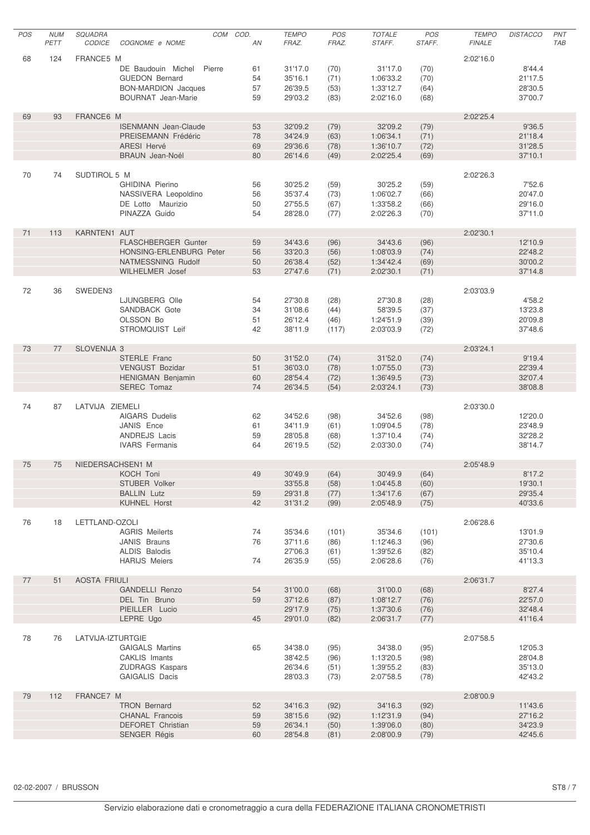| POS | <b>NUM</b> | SQUADRA             |                             | COM    | COD. | <b>TEMPO</b> | POS   | <b>TOTALE</b> | POS    | <b>TEMPO</b>  | <b>DISTACCO</b> | PNT        |
|-----|------------|---------------------|-----------------------------|--------|------|--------------|-------|---------------|--------|---------------|-----------------|------------|
|     | PETT       | <b>CODICE</b>       | COGNOME e NOME              |        | AN   | FRAZ.        | FRAZ. | STAFF.        | STAFF. | <b>FINALE</b> |                 | <b>TAB</b> |
|     |            |                     |                             |        |      |              |       |               |        |               |                 |            |
| 68  | 124        | FRANCE5 M           |                             |        |      |              |       |               |        | 2:02'16.0     |                 |            |
|     |            |                     | DE Baudouin Michel          | Pierre | 61   | 31'17.0      | (70)  | 31'17.0       | (70)   |               | 8'44.4          |            |
|     |            |                     | <b>GUEDON Bernard</b>       |        | 54   | 35'16.1      | (71)  | 1:06'33.2     | (70)   |               | 21'17.5         |            |
|     |            |                     | <b>BON-MARDION Jacques</b>  |        | 57   | 26'39.5      | (53)  | 1:33'12.7     | (64)   |               | 28'30.5         |            |
|     |            |                     | <b>BOURNAT Jean-Marie</b>   |        | 59   | 29'03.2      | (83)  | 2:02'16.0     | (68)   |               | 37'00.7         |            |
|     |            |                     |                             |        |      |              |       |               |        |               |                 |            |
| 69  | 93         | FRANCE6 M           |                             |        |      |              |       |               |        | 2:02'25.4     |                 |            |
|     |            |                     | <b>ISENMANN</b> Jean-Claude |        | 53   | 32'09.2      | (79)  | 32'09.2       | (79)   |               | 9'36.5          |            |
|     |            |                     | PREISEMANN Frédéric         |        | 78   | 34'24.9      | (63)  | 1:06'34.1     | (71)   |               | 21'18.4         |            |
|     |            |                     | <b>ARESI Hervé</b>          |        | 69   | 29'36.6      | (78)  | 1:36'10.7     | (72)   |               | 31'28.5         |            |
|     |            |                     | <b>BRAUN Jean-Noél</b>      |        | 80   | 26'14.6      | (49)  | 2:02'25.4     | (69)   |               | 37'10.1         |            |
|     |            |                     |                             |        |      |              |       |               |        |               |                 |            |
| 70  | 74         | SUDTIROL 5 M        |                             |        |      |              |       |               |        | 2:02'26.3     |                 |            |
|     |            |                     | GHIDINA Pierino             |        | 56   | 30'25.2      | (59)  | 30'25.2       | (59)   |               | 7'52.6          |            |
|     |            |                     | NASSIVERA Leopoldino        |        | 56   | 35'37.4      | (73)  | 1:06'02.7     | (66)   |               | 20'47.0         |            |
|     |            |                     | DE Lotto Maurizio           |        | 50   | 27'55.5      | (67)  | 1:33'58.2     | (66)   |               | 29'16.0         |            |
|     |            |                     | PINAZZA Guido               |        | 54   | 28'28.0      | (77)  | 2:02'26.3     | (70)   |               | 37'11.0         |            |
|     |            |                     |                             |        |      |              |       |               |        |               |                 |            |
| 71  | 113        | KARNTEN1 AUT        |                             |        |      |              |       |               |        | 2:02'30.1     |                 |            |
|     |            |                     | FLASCHBERGER Gunter         |        | 59   | 34'43.6      | (96)  | 34'43.6       | (96)   |               | 12'10.9         |            |
|     |            |                     | HONSING-ERLENBURG Peter     |        | 56   | 33'20.3      | (56)  | 1:08'03.9     | (74)   |               | 22'48.2         |            |
|     |            |                     | NATMESSNING Rudolf          |        | 50   | 26'38.4      | (52)  | 1:34'42.4     | (69)   |               | 30'00.2         |            |
|     |            |                     | <b>WILHELMER Josef</b>      |        | 53   | 27'47.6      | (71)  | 2:02'30.1     | (71)   |               | 37'14.8         |            |
|     |            |                     |                             |        |      |              |       |               |        |               |                 |            |
| 72  | 36         | SWEDEN3             |                             |        |      |              |       |               |        | 2:03'03.9     |                 |            |
|     |            |                     | LJUNGBERG Olle              |        | 54   | 27'30.8      |       | 27'30.8       | (28)   |               | 4'58.2          |            |
|     |            |                     |                             |        |      |              | (28)  |               |        |               |                 |            |
|     |            |                     | SANDBACK Gote               |        | 34   | 31'08.6      | (44)  | 58'39.5       | (37)   |               | 13'23.8         |            |
|     |            |                     | OLSSON Bo                   |        | 51   | 26'12.4      | (46)  | 1:24'51.9     | (39)   |               | 20'09.8         |            |
|     |            |                     | STROMQUIST Leif             |        | 42   | 38'11.9      | (117) | 2:03'03.9     | (72)   |               | 37'48.6         |            |
|     |            |                     |                             |        |      |              |       |               |        |               |                 |            |
| 73  | 77         | SLOVENIJA 3         |                             |        |      |              |       |               |        | 2:03'24.1     |                 |            |
|     |            |                     | STERLE Franc                |        | 50   | 31'52.0      | (74)  | 31'52.0       | (74)   |               | 9'19.4          |            |
|     |            |                     | <b>VENGUST Bozidar</b>      |        | 51   | 36'03.0      | (78)  | 1:07'55.0     | (73)   |               | 22'39.4         |            |
|     |            |                     | <b>HENIGMAN Benjamin</b>    |        | 60   | 28'54.4      | (72)  | 1:36'49.5     | (73)   |               | 32'07.4         |            |
|     |            |                     | SEREC Tomaz                 |        | 74   | 26'34.5      | (54)  | 2:03'24.1     | (73)   |               | 38'08.8         |            |
|     |            |                     |                             |        |      |              |       |               |        |               |                 |            |
| 74  | 87         | LATVIJA ZIEMELI     |                             |        |      |              |       |               |        | 2:03'30.0     |                 |            |
|     |            |                     | <b>AIGARS Dudelis</b>       |        | 62   | 34'52.6      | (98)  | 34'52.6       | (98)   |               | 12'20.0         |            |
|     |            |                     | JANIS Ence                  |        | 61   | 34'11.9      | (61)  | 1:09'04.5     | (78)   |               | 23'48.9         |            |
|     |            |                     | ANDREJS Lacis               |        | 59   | 28'05.8      | (68)  | 1:37'10.4     | (74)   |               | 32'28.2         |            |
|     |            |                     | <b>IVARS</b> Fermanis       |        | 64   | 26'19.5      | (52)  | 2:03'30.0     | (74)   |               | 38'14.7         |            |
|     |            |                     |                             |        |      |              |       |               |        |               |                 |            |
| 75  | 75         | NIEDERSACHSEN1 M    |                             |        |      |              |       |               |        | 2:05'48.9     |                 |            |
|     |            |                     | KOCH Toni                   |        | 49   | 30'49.9 (64) |       | 30'49.9       | (64)   |               | 8'17.2          |            |
|     |            |                     | STUBER Volker               |        |      | 33'55.8      | (58)  | 1:04'45.8     | (60)   |               | 19'30.1         |            |
|     |            |                     | <b>BALLIN Lutz</b>          |        | 59   | 29'31.8      | (77)  | 1:34'17.6     | (67)   |               | 29'35.4         |            |
|     |            |                     | <b>KUHNEL Horst</b>         |        | 42   | 31'31.2      | (99)  | 2:05'48.9     | (75)   |               | 40'33.6         |            |
|     |            |                     |                             |        |      |              |       |               |        |               |                 |            |
| 76  | 18         | LETTLAND-OZOLI      |                             |        |      |              |       |               |        | 2:06'28.6     |                 |            |
|     |            |                     | <b>AGRIS Meilerts</b>       |        | 74   | 35'34.6      | (101) | 35'34.6       | (101)  |               | 13'01.9         |            |
|     |            |                     | JANIS Brauns                |        | 76   | 37'11.6      | (86)  | 1:12'46.3     | (96)   |               | 27'30.6         |            |
|     |            |                     | ALDIS Balodis               |        |      | 27'06.3      | (61)  | 1:39'52.6     | (82)   |               | 35'10.4         |            |
|     |            |                     | <b>HARIJS Meiers</b>        |        | 74   | 26'35.9      | (55)  | 2:06'28.6     | (76)   |               | 41'13.3         |            |
|     |            |                     |                             |        |      |              |       |               |        |               |                 |            |
| 77  | 51         | <b>AOSTA FRIULI</b> |                             |        |      |              |       |               |        | 2:06'31.7     |                 |            |
|     |            |                     | <b>GANDELLI Renzo</b>       |        | 54   | 31'00.0      | (68)  | 31'00.0       | (68)   |               | 8'27.4          |            |
|     |            |                     |                             |        |      |              |       |               |        |               |                 |            |
|     |            |                     | DEL Tin Bruno               |        | 59   | 37'12.6      | (87)  | 1:08'12.7     | (76)   |               | 22'57.0         |            |
|     |            |                     | PIEILLER Lucio              |        |      | 29'17.9      | (75)  | 1:37'30.6     | (76)   |               | 32'48.4         |            |
|     |            |                     | LEPRE Ugo                   |        | 45   | 29'01.0      | (82)  | 2:06'31.7     | (77)   |               | 41'16.4         |            |
|     |            |                     |                             |        |      |              |       |               |        |               |                 |            |
| 78  | 76         | LATVIJA-IZTURTGIE   |                             |        |      |              |       |               |        | 2:07'58.5     |                 |            |
|     |            |                     | <b>GAIGALS Martins</b>      |        | 65   | 34'38.0      | (95)  | 34'38.0       | (95)   |               | 12'05.3         |            |
|     |            |                     | CAKLIS Imants               |        |      | 38'42.5      | (96)  | 1:13'20.5     | (98)   |               | 28'04.8         |            |
|     |            |                     | <b>ZUDRAGS Kaspars</b>      |        |      | 26'34.6      | (51)  | 1:39'55.2     | (83)   |               | 35'13.0         |            |
|     |            |                     | GAIGALIS Dacis              |        |      | 28'03.3      | (73)  | 2:07'58.5     | (78)   |               | 42'43.2         |            |
|     |            |                     |                             |        |      |              |       |               |        |               |                 |            |
| 79  | 112        | FRANCE7 M           |                             |        |      |              |       |               |        | 2:08'00.9     |                 |            |
|     |            |                     | <b>TRON Bernard</b>         |        | 52   | 34'16.3      | (92)  | 34'16.3       | (92)   |               | 11'43.6         |            |
|     |            |                     | <b>CHANAL Francois</b>      |        | 59   | 38'15.6      | (92)  | 1:12'31.9     | (94)   |               | 27'16.2         |            |
|     |            |                     | <b>DEFORET Christian</b>    |        | 59   | 26'34.1      | (50)  | 1:39'06.0     | (80)   |               | 34'23.9         |            |
|     |            |                     | <b>SENGER Régis</b>         |        | 60   | 28'54.8      | (81)  | 2:08'00.9     | (79)   |               | 42'45.6         |            |
|     |            |                     |                             |        |      |              |       |               |        |               |                 |            |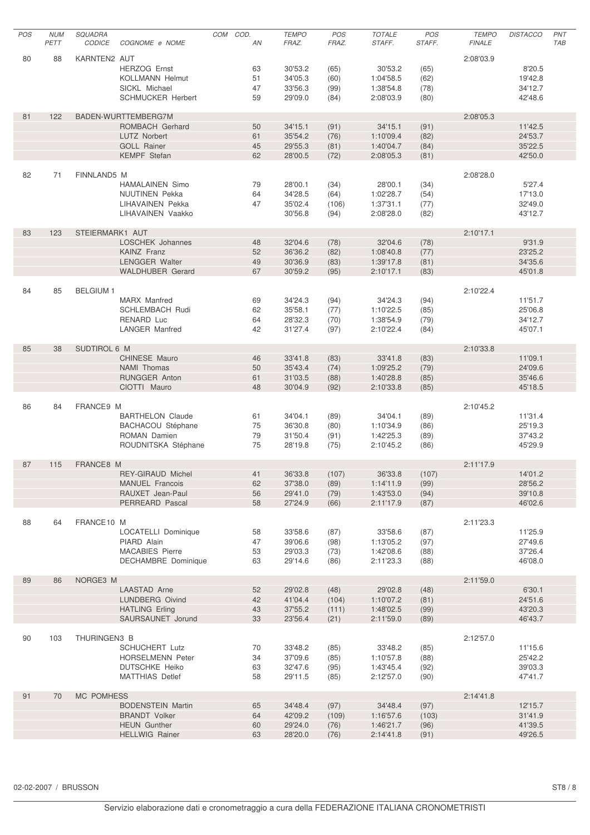| POS | <b>NUM</b> | SQUADRA         |                                                  | COM | COD.     | <b>TEMPO</b>       | POS           | <b>TOTALE</b>          | <b>POS</b>    | <b>TEMPO</b>  | <b>DISTACCO</b>    | PNT        |
|-----|------------|-----------------|--------------------------------------------------|-----|----------|--------------------|---------------|------------------------|---------------|---------------|--------------------|------------|
|     | PETT       | <b>CODICE</b>   | COGNOME e NOME                                   |     | AN       | FRAZ.              | FRAZ.         | STAFF.                 | STAFF.        | <b>FINALE</b> |                    | <b>TAB</b> |
| 80  | 88         | KARNTEN2 AUT    |                                                  |     |          |                    |               |                        |               | 2:08'03.9     |                    |            |
|     |            |                 | <b>HERZOG Ernst</b>                              |     | 63       | 30'53.2            | (65)          | 30'53.2                | (65)          |               | 8'20.5             |            |
|     |            |                 | <b>KOLLMANN Helmut</b>                           |     | 51       | 34'05.3            | (60)          | 1:04'58.5              | (62)          |               | 19'42.8            |            |
|     |            |                 | SICKL Michael                                    |     | 47       | 33'56.3            | (99)          | 1:38'54.8              | (78)          |               | 34'12.7            |            |
|     |            |                 | <b>SCHMUCKER Herbert</b>                         |     | 59       | 29'09.0            | (84)          | 2:08'03.9              | (80)          |               | 42'48.6            |            |
|     |            |                 |                                                  |     |          |                    |               |                        |               |               |                    |            |
| 81  | 122        |                 | BADEN-WURTTEMBERG7M<br>ROMBACH Gerhard           |     | 50       | 34'15.1            |               | 34'15.1                | (91)          | 2:08'05.3     |                    |            |
|     |            |                 | <b>LUTZ Norbert</b>                              |     | 61       | 35'54.2            | (91)<br>(76)  | 1:10'09.4              | (82)          |               | 11'42.5<br>24'53.7 |            |
|     |            |                 | <b>GOLL Rainer</b>                               |     | 45       | 29'55.3            | (81)          | 1:40'04.7              | (84)          |               | 35'22.5            |            |
|     |            |                 | <b>KEMPF</b> Stefan                              |     | 62       | 28'00.5            | (72)          | 2:08'05.3              | (81)          |               | 42'50.0            |            |
|     |            |                 |                                                  |     |          |                    |               |                        |               |               |                    |            |
| 82  | 71         | FINNLAND5 M     |                                                  |     |          |                    |               |                        |               | 2:08'28.0     |                    |            |
|     |            |                 | <b>HAMALAINEN Simo</b>                           |     | 79       | 28'00.1            | (34)          | 28'00.1                | (34)          |               | 5'27.4             |            |
|     |            |                 | <b>NUUTINEN Pekka</b><br>LIHAVAINEN Pekka        |     | 64<br>47 | 34'28.5<br>35'02.4 | (64)<br>(106) | 1:02'28.7<br>1:37'31.1 | (54)          |               | 17'13.0<br>32'49.0 |            |
|     |            |                 | LIHAVAINEN Vaakko                                |     |          | 30'56.8            | (94)          | 2:08'28.0              | (77)<br>(82)  |               | 43'12.7            |            |
|     |            |                 |                                                  |     |          |                    |               |                        |               |               |                    |            |
| 83  | 123        | STEIERMARK1 AUT |                                                  |     |          |                    |               |                        |               | 2:10'17.1     |                    |            |
|     |            |                 | LOSCHEK Johannes                                 |     | 48       | 32'04.6            | (78)          | 32'04.6                | (78)          |               | 9'31.9             |            |
|     |            |                 | <b>KAINZ Franz</b>                               |     | 52       | 36'36.2            | (82)          | 1:08'40.8              | (77)          |               | 23'25.2            |            |
|     |            |                 | <b>LENGGER Walter</b><br><b>WALDHUBER Gerard</b> |     | 49<br>67 | 30'36.9<br>30'59.2 | (83)          | 1:39'17.8<br>2:10'17.1 | (81)<br>(83)  |               | 34'35.6            |            |
|     |            |                 |                                                  |     |          |                    | (95)          |                        |               |               | 45'01.8            |            |
| 84  | 85         | <b>BELGIUM1</b> |                                                  |     |          |                    |               |                        |               | 2:10'22.4     |                    |            |
|     |            |                 | <b>MARX</b> Manfred                              |     | 69       | 34'24.3            | (94)          | 34'24.3                | (94)          |               | 11'51.7            |            |
|     |            |                 | <b>SCHLEMBACH Rudi</b>                           |     | 62       | 35'58.1            | (77)          | 1:10'22.5              | (85)          |               | 25'06.8            |            |
|     |            |                 | RENARD Luc                                       |     | 64       | 28'32.3            | (70)          | 1:38'54.9              | (79)          |               | 34'12.7            |            |
|     |            |                 | <b>LANGER Manfred</b>                            |     | 42       | 31'27.4            | (97)          | 2:10'22.4              | (84)          |               | 45'07.1            |            |
| 85  | 38         | SUDTIROL 6 M    |                                                  |     |          |                    |               |                        |               | 2:10'33.8     |                    |            |
|     |            |                 | CHINESE Mauro                                    |     | 46       | 33'41.8            | (83)          | 33'41.8                | (83)          |               | 11'09.1            |            |
|     |            |                 | <b>NAMI</b> Thomas                               |     | 50       | 35'43.4            | (74)          | 1:09'25.2              | (79)          |               | 24'09.6            |            |
|     |            |                 | RUNGGER Anton                                    |     | 61       | 31'03.5            | (88)          | 1:40'28.8              | (85)          |               | 35'46.6            |            |
|     |            |                 | CIOTTI Mauro                                     |     | 48       | 30'04.9            | (92)          | 2:10'33.8              | (85)          |               | 45'18.5            |            |
|     |            |                 |                                                  |     |          |                    |               |                        |               |               |                    |            |
| 86  | 84         | FRANCE9 M       | <b>BARTHELON Claude</b>                          |     | 61       | 34'04.1            | (89)          | 34'04.1                | (89)          | 2:10'45.2     | 11'31.4            |            |
|     |            |                 | BACHACOU Stéphane                                |     | 75       | 36'30.8            | (80)          | 1:10'34.9              | (86)          |               | 25'19.3            |            |
|     |            |                 | ROMAN Damien                                     |     | 79       | 31'50.4            | (91)          | 1:42'25.3              | (89)          |               | 37'43.2            |            |
|     |            |                 | ROUDNITSKA Stéphane                              |     | 75       | 28'19.8            | (75)          | 2:10'45.2              | (86)          |               | 45'29.9            |            |
|     |            |                 |                                                  |     |          |                    |               |                        |               |               |                    |            |
| 87  | 115        | FRANCE8 M       |                                                  |     |          |                    |               |                        |               | 2:11'17.9     |                    |            |
|     |            |                 | REY-GIRAUD Michel<br><b>MANUEL Francois</b>      |     | 41<br>62 | 36'33.8<br>37'38.0 | (107)<br>(89) | 36'33.8<br>1:14'11.9   | (107)<br>(99) |               | 14'01.2<br>28'56.2 |            |
|     |            |                 | RAUXET Jean-Paul                                 |     | 56       | 29'41.0            | (79)          | 1:43'53.0              | (94)          |               | 39'10.8            |            |
|     |            |                 | PERREARD Pascal                                  |     | 58       | 27'24.9            | (66)          | 2:11'17.9              | (87)          |               | 46'02.6            |            |
|     |            |                 |                                                  |     |          |                    |               |                        |               |               |                    |            |
| 88  | 64         | FRANCE10 M      |                                                  |     |          |                    |               |                        |               | 2:11'23.3     |                    |            |
|     |            |                 | LOCATELLI Dominique                              |     | 58       | 33'58.6            | (87)          | 33'58.6                | (87)          |               | 11'25.9            |            |
|     |            |                 | PIARD Alain<br><b>MACABIES Pierre</b>            |     | 47<br>53 | 39'06.6<br>29'03.3 | (98)<br>(73)  | 1:13'05.2<br>1:42'08.6 | (97)<br>(88)  |               | 27'49.6<br>37'26.4 |            |
|     |            |                 | <b>DECHAMBRE Dominique</b>                       |     | 63       | 29'14.6            | (86)          | 2:11'23.3              | (88)          |               | 46'08.0            |            |
|     |            |                 |                                                  |     |          |                    |               |                        |               |               |                    |            |
| 89  | 86         | NORGE3 M        |                                                  |     |          |                    |               |                        |               | 2:11'59.0     |                    |            |
|     |            |                 | <b>LAASTAD Arne</b>                              |     | 52       | 29'02.8            | (48)          | 29'02.8                | (48)          |               | 6'30.1             |            |
|     |            |                 | LUNDBERG Oivind                                  |     | 42       | 41'04.4            | (104)         | 1:10'07.2              | (81)          |               | 24'51.6            |            |
|     |            |                 | <b>HATLING Erling</b><br>SAURSAUNET Jorund       |     | 43<br>33 | 37'55.2<br>23'56.4 | (111)<br>(21) | 1:48'02.5<br>2:11'59.0 | (99)<br>(89)  |               | 43'20.3<br>46'43.7 |            |
|     |            |                 |                                                  |     |          |                    |               |                        |               |               |                    |            |
| 90  | 103        | THURINGEN3 B    |                                                  |     |          |                    |               |                        |               | 2:12'57.0     |                    |            |
|     |            |                 | <b>SCHUCHERT Lutz</b>                            |     | 70       | 33'48.2            | (85)          | 33'48.2                | (85)          |               | 11'15.6            |            |
|     |            |                 | <b>HORSELMENN Peter</b>                          |     | 34       | 37'09.6            | (85)          | 1:10'57.8              | (88)          |               | 25'42.2            |            |
|     |            |                 | <b>DUTSCHKE Heiko</b>                            |     | 63       | 32'47.6            | (95)          | 1:43'45.4              | (92)          |               | 39'03.3            |            |
|     |            |                 | <b>MATTHIAS Detlef</b>                           |     | 58       | 29'11.5            | (85)          | 2:12'57.0              | (90)          |               | 47'41.7            |            |
| 91  | 70         | MC POMHESS      |                                                  |     |          |                    |               |                        |               | 2:14'41.8     |                    |            |
|     |            |                 | <b>BODENSTEIN Martin</b>                         |     | 65       | 34'48.4            | (97)          | 34'48.4                | (97)          |               | 12'15.7            |            |
|     |            |                 | <b>BRANDT Volker</b>                             |     | 64       | 42'09.2            | (109)         | 1:16'57.6              | (103)         |               | 31'41.9            |            |
|     |            |                 | <b>HEUN Gunther</b>                              |     | 60       | 29'24.0            | (76)          | 1:46'21.7              | (96)          |               | 41'39.5            |            |
|     |            |                 | <b>HELLWIG Rainer</b>                            |     | 63       | 28'20.0            | (76)          | 2:14'41.8              | (91)          |               | 49'26.5            |            |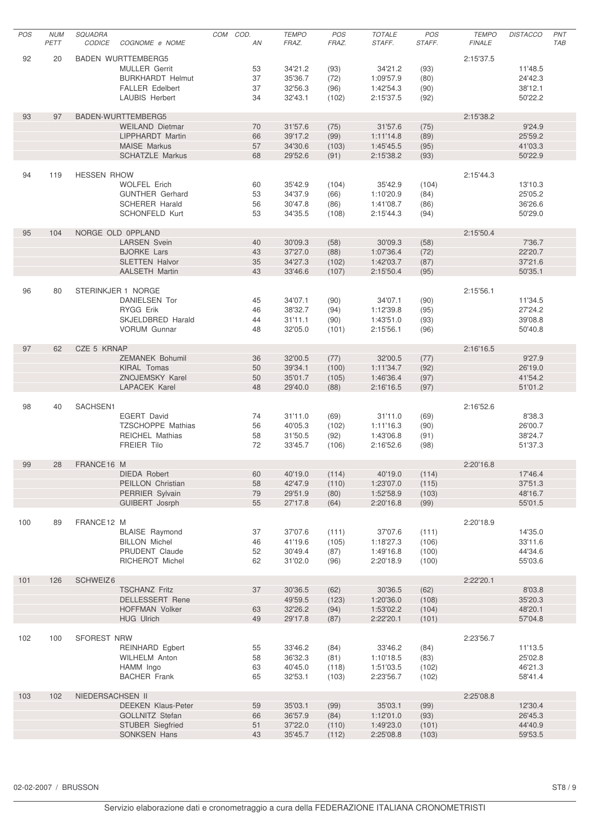| POS | <b>NUM</b><br>PETT | <b>SQUADRA</b><br><b>CODICE</b> | COGNOME e NOME                            | COM COD.<br>ΑN | <b>TEMPO</b><br>FRAZ. | POS<br>FRAZ.  | <b>TOTALE</b><br>STAFF. | POS<br>STAFF.  | <b>TEMPO</b><br><b>FINALE</b> | <b>DISTACCO</b>    | PNT<br><b>TAB</b> |
|-----|--------------------|---------------------------------|-------------------------------------------|----------------|-----------------------|---------------|-------------------------|----------------|-------------------------------|--------------------|-------------------|
| 92  | 20                 |                                 | <b>BADEN WURTTEMBERG5</b>                 |                |                       |               |                         |                | 2:15'37.5                     |                    |                   |
|     |                    |                                 | <b>MULLER Gerrit</b>                      | 53             | 34'21.2               | (93)          | 34'21.2                 | (93)           |                               | 11'48.5            |                   |
|     |                    |                                 | <b>BURKHARDT Helmut</b>                   | 37             | 35'36.7               | (72)          | 1:09'57.9               | (80)           |                               | 24'42.3            |                   |
|     |                    |                                 | <b>FALLER Edelbert</b>                    | 37             | 32'56.3               | (96)          | 1:42'54.3               | (90)           |                               | 38'12.1            |                   |
|     |                    |                                 | <b>LAUBIS Herbert</b>                     | 34             | 32'43.1               | (102)         | 2:15'37.5               | (92)           |                               | 50'22.2            |                   |
|     |                    |                                 |                                           |                |                       |               |                         |                |                               |                    |                   |
| 93  | 97                 |                                 | BADEN-WURTTEMBERG5                        |                |                       |               |                         |                | 2:15'38.2                     |                    |                   |
|     |                    |                                 | <b>WEILAND Dietmar</b>                    | 70             | 31'57.6               | (75)          | 31'57.6                 | (75)           |                               | 9'24.9             |                   |
|     |                    |                                 | LIPPHARDT Martin<br><b>MAISE Markus</b>   | 66<br>57       | 39'17.2<br>34'30.6    | (99)          | 1:11'14.8               | (89)           |                               | 25'59.2<br>41'03.3 |                   |
|     |                    |                                 | <b>SCHATZLE Markus</b>                    | 68             | 29'52.6               | (103)<br>(91) | 1:45'45.5<br>2:15'38.2  | (95)<br>(93)   |                               | 50'22.9            |                   |
|     |                    |                                 |                                           |                |                       |               |                         |                |                               |                    |                   |
| 94  | 119                | <b>HESSEN RHOW</b>              |                                           |                |                       |               |                         |                | 2:15'44.3                     |                    |                   |
|     |                    |                                 | <b>WOLFEL Erich</b>                       | 60             | 35'42.9               | (104)         | 35'42.9                 | (104)          |                               | 13'10.3            |                   |
|     |                    |                                 | <b>GUNTHER Gerhard</b>                    | 53             | 34'37.9               | (66)          | 1:10'20.9               | (84)           |                               | 25'05.2            |                   |
|     |                    |                                 | <b>SCHERER Harald</b>                     | 56             | 30'47.8               | (86)          | 1:41'08.7               | (86)           |                               | 36'26.6            |                   |
|     |                    |                                 | <b>SCHONFELD Kurt</b>                     | 53             | 34'35.5               | (108)         | 2:15'44.3               | (94)           |                               | 50'29.0            |                   |
|     |                    |                                 |                                           |                |                       |               |                         |                |                               |                    |                   |
| 95  | 104                |                                 | NORGE OLD OPPLAND                         |                |                       |               |                         |                | 2:15'50.4                     |                    |                   |
|     |                    |                                 | <b>LARSEN Svein</b><br><b>BJORKE Lars</b> | 40<br>43       | 30'09.3<br>37'27.0    | (58)          | 30'09.3<br>1:07'36.4    | (58)           |                               | 7'36.7<br>22'20.7  |                   |
|     |                    |                                 | <b>SLETTEN Halvor</b>                     | 35             | 34'27.3               | (88)<br>(102) | 1:42'03.7               | (72)<br>(87)   |                               | 37'21.6            |                   |
|     |                    |                                 | <b>AALSETH Martin</b>                     | 43             | 33'46.6               | (107)         | 2:15'50.4               | (95)           |                               | 50'35.1            |                   |
|     |                    |                                 |                                           |                |                       |               |                         |                |                               |                    |                   |
| 96  | 80                 |                                 | STERINKJER 1 NORGE                        |                |                       |               |                         |                | 2:15'56.1                     |                    |                   |
|     |                    |                                 | DANIELSEN Tor                             | 45             | 34'07.1               | (90)          | 34'07.1                 | (90)           |                               | 11'34.5            |                   |
|     |                    |                                 | RYGG Erik                                 | 46             | 38'32.7               | (94)          | 1:12'39.8               | (95)           |                               | 27'24.2            |                   |
|     |                    |                                 | SKJELDBRED Harald                         | 44             | 31'11.1               | (90)          | 1:43'51.0               | (93)           |                               | 39'08.8            |                   |
|     |                    |                                 | <b>VORUM Gunnar</b>                       | 48             | 32'05.0               | (101)         | 2:15'56.1               | (96)           |                               | 50'40.8            |                   |
|     |                    |                                 |                                           |                |                       |               |                         |                |                               |                    |                   |
| 97  | 62                 | CZE 5 KRNAP                     |                                           |                |                       |               |                         |                | 2:16'16.5                     |                    |                   |
|     |                    |                                 | ZEMANEK Bohumil                           | 36             | 32'00.5               | (77)          | 32'00.5                 | (77)           |                               | 9'27.9             |                   |
|     |                    |                                 | KIRAL Tomas<br>ZNOJEMSKY Karel            | 50<br>50       | 39'34.1<br>35'01.7    | (100)         | 1:11'34.7               | (92)           |                               | 26'19.0<br>41'54.2 |                   |
|     |                    |                                 | <b>LAPACEK Karel</b>                      | 48             | 29'40.0               | (105)<br>(88) | 1:46'36.4<br>2:16'16.5  | (97)<br>(97)   |                               | 51'01.2            |                   |
|     |                    |                                 |                                           |                |                       |               |                         |                |                               |                    |                   |
| 98  | 40                 | SACHSEN1                        |                                           |                |                       |               |                         |                | 2:16'52.6                     |                    |                   |
|     |                    |                                 | EGERT David                               | 74             | 31'11.0               | (69)          | 31'11.0                 | (69)           |                               | 8'38.3             |                   |
|     |                    |                                 | <b>TZSCHOPPE Mathias</b>                  | 56             | 40'05.3               | (102)         | 1:11'16.3               | (90)           |                               | 26'00.7            |                   |
|     |                    |                                 | <b>REICHEL Mathias</b>                    | 58             | 31'50.5               | (92)          | 1:43'06.8               | (91)           |                               | 38'24.7            |                   |
|     |                    |                                 | <b>FREIER Tilo</b>                        | 72             | 33'45.7               | (106)         | 2:16'52.6               | (98)           |                               | 51'37.3            |                   |
|     |                    |                                 |                                           |                |                       |               |                         |                |                               |                    |                   |
| 99  | 28                 | FRANCE16 M                      |                                           |                |                       |               |                         |                | 2:20'16.8                     |                    |                   |
|     |                    |                                 | DIEDA Robert                              | 60             | 40'19.0 (114)         |               | 40'19.0<br>1:23'07.0    | (114)          |                               | 17'46.4            |                   |
|     |                    |                                 | PEILLON Christian<br>PERRIER Sylvain      | 58<br>79       | 42'47.9<br>29'51.9    | (110)<br>(80) | 1:52'58.9               | (115)<br>(103) |                               | 37'51.3<br>48'16.7 |                   |
|     |                    |                                 | GUIBERT Josrph                            | 55             | 27'17.8               | (64)          | 2:20'16.8               | (99)           |                               | 55'01.5            |                   |
|     |                    |                                 |                                           |                |                       |               |                         |                |                               |                    |                   |
| 100 | 89                 | FRANCE12 M                      |                                           |                |                       |               |                         |                | 2:20'18.9                     |                    |                   |
|     |                    |                                 | <b>BLAISE</b> Raymond                     | 37             | 37'07.6               | (111)         | 37'07.6                 | (111)          |                               | 14'35.0            |                   |
|     |                    |                                 | <b>BILLON Michel</b>                      | 46             | 41'19.6               | (105)         | 1:18'27.3               | (106)          |                               | 33'11.6            |                   |
|     |                    |                                 | PRUDENT Claude                            | 52             | 30'49.4               | (87)          | 1:49'16.8               | (100)          |                               | 44'34.6            |                   |
|     |                    |                                 | RICHEROT Michel                           | 62             | 31'02.0               | (96)          | 2:20'18.9               | (100)          |                               | 55'03.6            |                   |
|     |                    |                                 |                                           |                |                       |               |                         |                |                               |                    |                   |
| 101 | 126                | SCHWEIZ6                        | <b>TSCHANZ Fritz</b>                      | 37             | 30'36.5               | (62)          | 30'36.5                 | (62)           | 2:22'20.1                     | 8'03.8             |                   |
|     |                    |                                 | <b>DELLESSERT Rene</b>                    |                | 49'59.5               | (123)         | 1:20'36.0               | (108)          |                               | 35'20.3            |                   |
|     |                    |                                 | <b>HOFFMAN Volker</b>                     | 63             | 32'26.2               | (94)          | 1:53'02.2               | (104)          |                               | 48'20.1            |                   |
|     |                    |                                 | <b>HUG Ulrich</b>                         | 49             | 29'17.8               | (87)          | 2:22'20.1               | (101)          |                               | 57'04.8            |                   |
|     |                    |                                 |                                           |                |                       |               |                         |                |                               |                    |                   |
| 102 | 100                | SFOREST NRW                     |                                           |                |                       |               |                         |                | 2:23'56.7                     |                    |                   |
|     |                    |                                 | <b>REINHARD Egbert</b>                    | 55             | 33'46.2               | (84)          | 33'46.2                 | (84)           |                               | 11'13.5            |                   |
|     |                    |                                 | <b>WILHELM Anton</b>                      | 58             | 36'32.3               | (81)          | 1:10'18.5               | (83)           |                               | 25'02.8            |                   |
|     |                    |                                 | HAMM Ingo                                 | 63             | 40'45.0               | (118)         | 1:51'03.5               | (102)          |                               | 46'21.3            |                   |
|     |                    |                                 | <b>BACHER Frank</b>                       | 65             | 32'53.1               | (103)         | 2:23'56.7               | (102)          |                               | 58'41.4            |                   |
| 103 | 102                | NIEDERSACHSEN II                |                                           |                |                       |               |                         |                | 2:25'08.8                     |                    |                   |
|     |                    |                                 | <b>DEEKEN Klaus-Peter</b>                 | 59             | 35'03.1               | (99)          | 35'03.1                 | (99)           |                               | 12'30.4            |                   |
|     |                    |                                 | <b>GOLLNITZ Stefan</b>                    | 66             | 36'57.9               | (84)          | 1:12'01.0               | (93)           |                               | 26'45.3            |                   |
|     |                    |                                 | <b>STUBER Siegfried</b>                   | 51             | 37'22.0               | (110)         | 1:49'23.0               | (101)          |                               | 44'40.9            |                   |
|     |                    |                                 | SONKSEN Hans                              | 43             | 35'45.7               | (112)         | 2:25'08.8               | (103)          |                               | 59'53.5            |                   |
|     |                    |                                 |                                           |                |                       |               |                         |                |                               |                    |                   |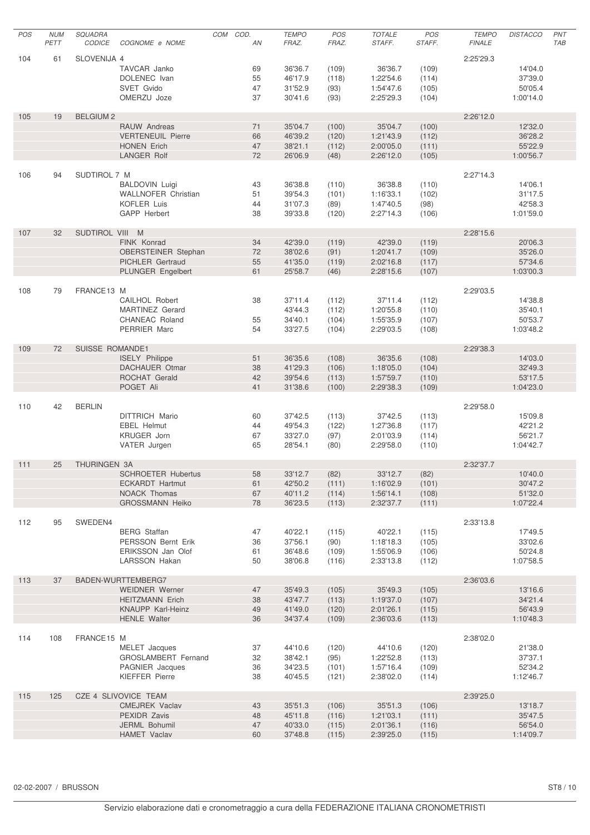| POS | <b>NUM</b> | <b>SQUADRA</b>         |                            | COD.<br>COM |    | <b>TEMPO</b> | POS   | <b>TOTALE</b> | <b>POS</b> | <b>TEMPO</b>  | <b>DISTACCO</b> | PNT |
|-----|------------|------------------------|----------------------------|-------------|----|--------------|-------|---------------|------------|---------------|-----------------|-----|
|     | PETT       | <b>CODICE</b>          | COGNOME e NOME             |             | AN | FRAZ.        | FRAZ. | STAFF.        | STAFF.     | <b>FINALE</b> |                 | TAB |
|     |            |                        |                            |             |    |              |       |               |            |               |                 |     |
| 104 | 61         | SLOVENIJA 4            |                            |             |    |              |       |               |            | 2:25'29.3     |                 |     |
|     |            |                        | TAVCAR Janko               |             | 69 | 36'36.7      | (109) | 36'36.7       | (109)      |               | 14'04.0         |     |
|     |            |                        | DOLENEC Ivan               |             | 55 | 46'17.9      | (118) | 1:22'54.6     | (114)      |               | 37'39.0         |     |
|     |            |                        | SVET Gvido                 |             | 47 | 31'52.9      | (93)  | 1:54'47.6     | (105)      |               | 50'05.4         |     |
|     |            |                        | OMERZU Joze                |             | 37 | 30'41.6      | (93)  | 2:25'29.3     | (104)      |               | 1:00'14.0       |     |
|     |            |                        |                            |             |    |              |       |               |            |               |                 |     |
| 105 | 19         | <b>BELGIUM2</b>        |                            |             |    |              |       |               |            | 2:26'12.0     |                 |     |
|     |            |                        | RAUW Andreas               |             | 71 | 35'04.7      | (100) | 35'04.7       | (100)      |               | 12'32.0         |     |
|     |            |                        | <b>VERTENEUIL Pierre</b>   |             | 66 | 46'39.2      | (120) | 1:21'43.9     | (112)      |               | 36'28.2         |     |
|     |            |                        | <b>HONEN Erich</b>         |             | 47 | 38'21.1      | (112) | 2:00'05.0     | (111)      |               | 55'22.9         |     |
|     |            |                        | <b>LANGER Rolf</b>         |             | 72 | 26'06.9      | (48)  | 2:26'12.0     | (105)      |               | 1:00'56.7       |     |
|     |            |                        |                            |             |    |              |       |               |            |               |                 |     |
| 106 | 94         | SUDTIROL 7 M           |                            |             |    |              |       |               |            | 2:27'14.3     |                 |     |
|     |            |                        |                            |             |    |              |       |               |            |               |                 |     |
|     |            |                        | <b>BALDOVIN Luigi</b>      |             | 43 | 36'38.8      | (110) | 36'38.8       | (110)      |               | 14'06.1         |     |
|     |            |                        | <b>WALLNOFER Christian</b> |             | 51 | 39'54.3      | (101) | 1:16'33.1     | (102)      |               | 31'17.5         |     |
|     |            |                        | <b>KOFLER Luis</b>         |             | 44 | 31'07.3      | (89)  | 1:47'40.5     | (98)       |               | 42'58.3         |     |
|     |            |                        | GAPP Herbert               |             | 38 | 39'33.8      | (120) | 2:27'14.3     | (106)      |               | 1:01'59.0       |     |
|     |            |                        |                            |             |    |              |       |               |            |               |                 |     |
| 107 | 32         | SUDTIROL VIII M        |                            |             |    |              |       |               |            | 2:28'15.6     |                 |     |
|     |            |                        | FINK Konrad                |             | 34 | 42'39.0      | (119) | 42'39.0       | (119)      |               | 20'06.3         |     |
|     |            |                        | OBERSTEINER Stephan        |             | 72 | 38'02.6      | (91)  | 1:20'41.7     | (109)      |               | 35'26.0         |     |
|     |            |                        | PICHLER Gertraud           |             | 55 | 41'35.0      | (119) | 2:02'16.8     | (117)      |               | 57'34.6         |     |
|     |            |                        | PLUNGER Engelbert          |             | 61 | 25'58.7      | (46)  | 2:28'15.6     | (107)      |               | 1:03'00.3       |     |
|     |            |                        |                            |             |    |              |       |               |            |               |                 |     |
| 108 | 79         | FRANCE13 M             |                            |             |    |              |       |               |            | 2:29'03.5     |                 |     |
|     |            |                        | CAILHOL Robert             |             | 38 | 37'11.4      | (112) | 37'11.4       | (112)      |               | 14'38.8         |     |
|     |            |                        | <b>MARTINEZ</b> Gerard     |             |    | 43'44.3      | (112) | 1:20'55.8     | (110)      |               | 35'40.1         |     |
|     |            |                        | CHANEAC Roland             |             | 55 | 34'40.1      | (104) | 1:55'35.9     | (107)      |               | 50'53.7         |     |
|     |            |                        | PERRIER Marc               |             | 54 | 33'27.5      | (104) | 2:29'03.5     | (108)      |               | 1:03'48.2       |     |
|     |            |                        |                            |             |    |              |       |               |            |               |                 |     |
|     |            |                        |                            |             |    |              |       |               |            |               |                 |     |
| 109 | 72         | <b>SUISSE ROMANDE1</b> |                            |             |    |              |       |               |            | 2:29'38.3     |                 |     |
|     |            |                        | <b>ISELY Philippe</b>      |             | 51 | 36'35.6      | (108) | 36'35.6       | (108)      |               | 14'03.0         |     |
|     |            |                        | <b>DACHAUER Otmar</b>      |             | 38 | 41'29.3      | (106) | 1:18'05.0     | (104)      |               | 32'49.3         |     |
|     |            |                        | ROCHAT Gerald              |             | 42 | 39'54.6      | (113) | 1:57'59.7     | (110)      |               | 53'17.5         |     |
|     |            |                        | POGET Ali                  |             | 41 | 31'38.6      | (100) | 2:29'38.3     | (109)      |               | 1:04'23.0       |     |
|     |            |                        |                            |             |    |              |       |               |            |               |                 |     |
| 110 | 42         | <b>BERLIN</b>          |                            |             |    |              |       |               |            | 2:29'58.0     |                 |     |
|     |            |                        | DITTRICH Mario             |             | 60 | 37'42.5      | (113) | 37'42.5       | (113)      |               | 15'09.8         |     |
|     |            |                        | <b>EBEL Helmut</b>         |             | 44 | 49'54.3      | (122) | 1:27'36.8     | (117)      |               | 42'21.2         |     |
|     |            |                        | KRUGER Jorn                |             | 67 | 33'27.0      | (97)  | 2:01'03.9     | (114)      |               | 56'21.7         |     |
|     |            |                        | VATER Jurgen               |             | 65 | 28'54.1      | (80)  | 2:29'58.0     | (110)      |               | 1:04'42.7       |     |
|     |            |                        |                            |             |    |              |       |               |            |               |                 |     |
| 111 | 25         | THURINGEN 3A           |                            |             |    |              |       |               |            | 2:32'37.7     |                 |     |
|     |            |                        | <b>SCHROETER Hubertus</b>  |             | 58 | 33'12.7      | (82)  | 33'12.7       | (82)       |               | 10'40.0         |     |
|     |            |                        | <b>ECKARDT Hartmut</b>     |             | 61 | 42'50.2      | (111) | 1:16'02.9     | (101)      |               | 30'47.2         |     |
|     |            |                        | NOACK Thomas               |             | 67 | 40'11.2      | (114) | 1:56'14.1     | (108)      |               | 51'32.0         |     |
|     |            |                        | <b>GROSSMANN Heiko</b>     |             | 78 | 36'23.5      |       |               |            |               | 1:07'22.4       |     |
|     |            |                        |                            |             |    |              | (113) | 2:32'37.7     | (111)      |               |                 |     |
|     |            |                        |                            |             |    |              |       |               |            |               |                 |     |
| 112 | 95         | SWEDEN4                |                            |             |    |              |       |               |            | 2:33'13.8     |                 |     |
|     |            |                        | <b>BERG</b> Staffan        |             | 47 | 40'22.1      | (115) | 40'22.1       | (115)      |               | 17'49.5         |     |
|     |            |                        | PERSSON Bernt Erik         |             | 36 | 37'56.1      | (90)  | 1:18'18.3     | (105)      |               | 33'02.6         |     |
|     |            |                        | ERIKSSON Jan Olof          |             | 61 | 36'48.6      | (109) | 1:55'06.9     | (106)      |               | 50'24.8         |     |
|     |            |                        | LARSSON Hakan              |             | 50 | 38'06.8      | (116) | 2:33'13.8     | (112)      |               | 1:07'58.5       |     |
|     |            |                        |                            |             |    |              |       |               |            |               |                 |     |
| 113 | 37         |                        | BADEN-WURTTEMBERG7         |             |    |              |       |               |            | 2:36'03.6     |                 |     |
|     |            |                        | <b>WEIDNER Werner</b>      |             | 47 | 35'49.3      | (105) | 35'49.3       | (105)      |               | 13'16.6         |     |
|     |            |                        | <b>HEITZMANN Erich</b>     |             | 38 | 43'47.7      | (113) | 1:19'37.0     | (107)      |               | 34'21.4         |     |
|     |            |                        | KNAUPP Karl-Heinz          |             | 49 | 41'49.0      | (120) | 2:01'26.1     | (115)      |               | 56'43.9         |     |
|     |            |                        | <b>HENLE Walter</b>        |             | 36 | 34'37.4      | (109) | 2:36'03.6     | (113)      |               | 1:10'48.3       |     |
|     |            |                        |                            |             |    |              |       |               |            |               |                 |     |
| 114 | 108        | FRANCE15 M             |                            |             |    |              |       |               |            | 2:38'02.0     |                 |     |
|     |            |                        | MELET Jacques              |             | 37 | 44'10.6      | (120) | 44'10.6       | (120)      |               | 21'38.0         |     |
|     |            |                        |                            |             |    |              |       |               |            |               |                 |     |
|     |            |                        | GROSLAMBERT Fernand        |             | 32 | 38'42.1      | (95)  | 1:22'52.8     | (113)      |               | 37'37.1         |     |
|     |            |                        | PAGNIER Jacques            |             | 36 | 34'23.5      | (101) | 1:57'16.4     | (109)      |               | 52'34.2         |     |
|     |            |                        | <b>KIEFFER Pierre</b>      |             | 38 | 40'45.5      | (121) | 2:38'02.0     | (114)      |               | 1:12'46.7       |     |
|     |            |                        |                            |             |    |              |       |               |            |               |                 |     |
| 115 | 125        |                        | CZE 4 SLIVOVICE TEAM       |             |    |              |       |               |            | 2:39'25.0     |                 |     |
|     |            |                        | <b>CMEJREK Vaclav</b>      |             | 43 | 35'51.3      | (106) | 35'51.3       | (106)      |               | 13'18.7         |     |
|     |            |                        | PEXIDR Zavis               |             | 48 | 45'11.8      | (116) | 1:21'03.1     | (111)      |               | 35'47.5         |     |
|     |            |                        | JERML Bohumil              |             | 47 | 40'33.0      | (115) | 2:01'36.1     | (116)      |               | 56'54.0         |     |
|     |            |                        | <b>HAMET Vaclav</b>        |             | 60 | 37'48.8      | (115) | 2:39'25.0     | (115)      |               | 1:14'09.7       |     |
|     |            |                        |                            |             |    |              |       |               |            |               |                 |     |